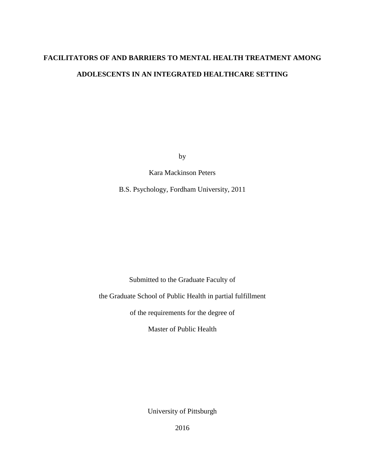# **FACILITATORS OF AND BARRIERS TO MENTAL HEALTH TREATMENT AMONG ADOLESCENTS IN AN INTEGRATED HEALTHCARE SETTING**

by

Kara Mackinson Peters

B.S. Psychology, Fordham University, 2011

Submitted to the Graduate Faculty of

the Graduate School of Public Health in partial fulfillment

of the requirements for the degree of

Master of Public Health

University of Pittsburgh

2016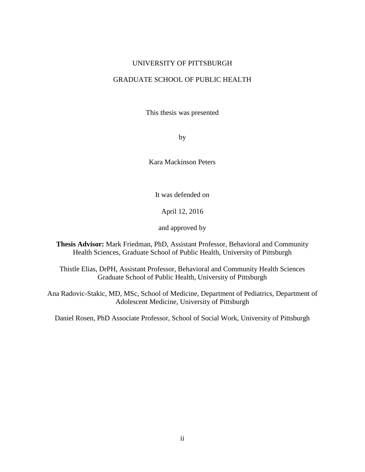## UNIVERSITY OF PITTSBURGH

# GRADUATE SCHOOL OF PUBLIC HEALTH

This thesis was presented

by

Kara Mackinson Peters

It was defended on

April 12, 2016

and approved by

**Thesis Advisor:** Mark Friedman, PhD, Assistant Professor, Behavioral and Community Health Sciences, Graduate School of Public Health, University of Pittsburgh

Thistle Elias, DrPH, Assistant Professor, Behavioral and Community Health Sciences Graduate School of Public Health, University of Pittsburgh

Ana Radovic-Stakic, MD, MSc, School of Medicine, Department of Pediatrics, Department of Adolescent Medicine, University of Pittsburgh

Daniel Rosen, PhD Associate Professor, School of Social Work, University of Pittsburgh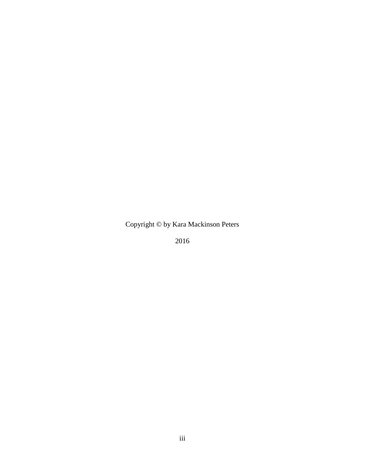Copyright © by Kara Mackinson Peters

2016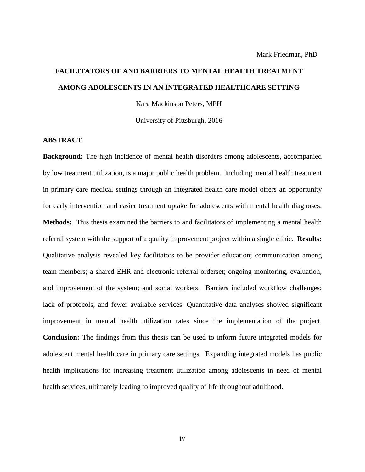# **FACILITATORS OF AND BARRIERS TO MENTAL HEALTH TREATMENT AMONG ADOLESCENTS IN AN INTEGRATED HEALTHCARE SETTING**

Kara Mackinson Peters, MPH

University of Pittsburgh, 2016

# **ABSTRACT**

**Background:** The high incidence of mental health disorders among adolescents, accompanied by low treatment utilization, is a major public health problem. Including mental health treatment in primary care medical settings through an integrated health care model offers an opportunity for early intervention and easier treatment uptake for adolescents with mental health diagnoses. **Methods:** This thesis examined the barriers to and facilitators of implementing a mental health referral system with the support of a quality improvement project within a single clinic. **Results:** Qualitative analysis revealed key facilitators to be provider education; communication among team members; a shared EHR and electronic referral orderset; ongoing monitoring, evaluation, and improvement of the system; and social workers. Barriers included workflow challenges; lack of protocols; and fewer available services. Quantitative data analyses showed significant improvement in mental health utilization rates since the implementation of the project. **Conclusion:** The findings from this thesis can be used to inform future integrated models for adolescent mental health care in primary care settings. Expanding integrated models has public health implications for increasing treatment utilization among adolescents in need of mental health services, ultimately leading to improved quality of life throughout adulthood.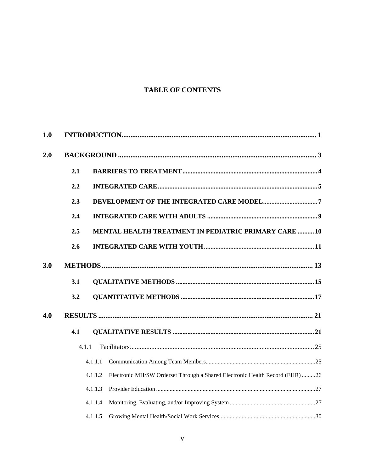# **TABLE OF CONTENTS**

| 1.0 |       |                                                                                         |  |
|-----|-------|-----------------------------------------------------------------------------------------|--|
| 2.0 |       |                                                                                         |  |
|     | 2.1   |                                                                                         |  |
|     | 2.2   |                                                                                         |  |
|     | 2.3   |                                                                                         |  |
|     | 2.4   |                                                                                         |  |
|     | 2.5   | <b>MENTAL HEALTH TREATMENT IN PEDIATRIC PRIMARY CARE  10</b>                            |  |
|     | 2.6   |                                                                                         |  |
| 3.0 |       |                                                                                         |  |
|     | 3.1   |                                                                                         |  |
|     | 3.2   |                                                                                         |  |
| 4.0 |       |                                                                                         |  |
|     | 4.1   |                                                                                         |  |
|     | 4.1.1 |                                                                                         |  |
|     |       | 4.1.1.1                                                                                 |  |
|     |       | Electronic MH/SW Orderset Through a Shared Electronic Health Record (EHR) 26<br>4.1.1.2 |  |
|     |       | 4.1.1.3                                                                                 |  |
|     |       | 4.1.1.4                                                                                 |  |
|     |       | 4.1.1.5                                                                                 |  |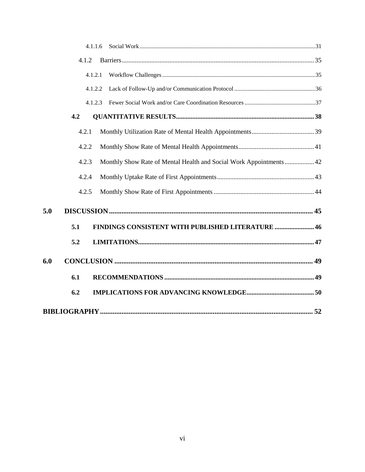|     | 4.1.1.6 |                                                                    |  |
|-----|---------|--------------------------------------------------------------------|--|
|     | 4.1.2   |                                                                    |  |
|     | 4.1.2.1 |                                                                    |  |
|     | 4.1.2.2 |                                                                    |  |
|     | 4.1.2.3 |                                                                    |  |
|     | 4.2     |                                                                    |  |
|     | 4.2.1   |                                                                    |  |
|     | 4.2.2   |                                                                    |  |
|     | 4.2.3   | Monthly Show Rate of Mental Health and Social Work Appointments 42 |  |
|     | 4.2.4   |                                                                    |  |
|     | 4.2.5   |                                                                    |  |
| 5.0 |         |                                                                    |  |
|     | 5.1     | <b>FINDINGS CONSISTENT WITH PUBLISHED LITERATURE  46</b>           |  |
|     | 5.2     |                                                                    |  |
| 6.0 |         |                                                                    |  |
|     | 6.1     |                                                                    |  |
|     | 6.2     |                                                                    |  |
|     |         |                                                                    |  |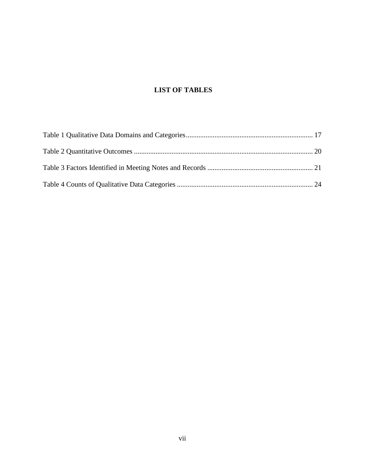# **LIST OF TABLES**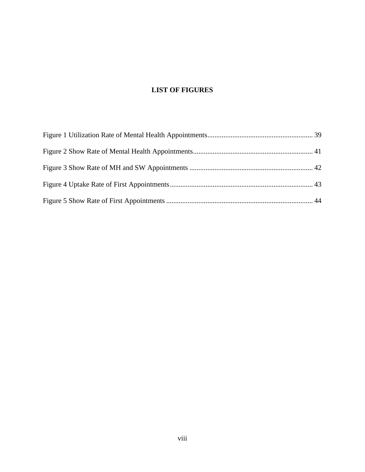# **LIST OF FIGURES**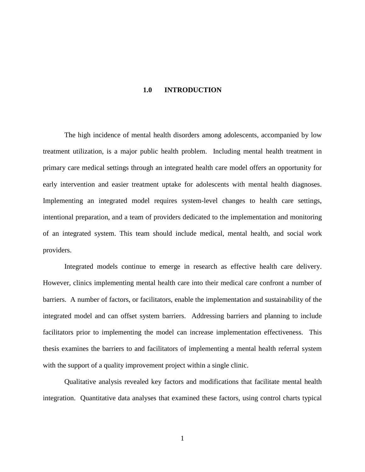### **1.0 INTRODUCTION**

<span id="page-8-0"></span>The high incidence of mental health disorders among adolescents, accompanied by low treatment utilization, is a major public health problem. Including mental health treatment in primary care medical settings through an integrated health care model offers an opportunity for early intervention and easier treatment uptake for adolescents with mental health diagnoses. Implementing an integrated model requires system-level changes to health care settings, intentional preparation, and a team of providers dedicated to the implementation and monitoring of an integrated system. This team should include medical, mental health, and social work providers.

Integrated models continue to emerge in research as effective health care delivery. However, clinics implementing mental health care into their medical care confront a number of barriers. A number of factors, or facilitators, enable the implementation and sustainability of the integrated model and can offset system barriers. Addressing barriers and planning to include facilitators prior to implementing the model can increase implementation effectiveness. This thesis examines the barriers to and facilitators of implementing a mental health referral system with the support of a quality improvement project within a single clinic.

Qualitative analysis revealed key factors and modifications that facilitate mental health integration. Quantitative data analyses that examined these factors, using control charts typical

1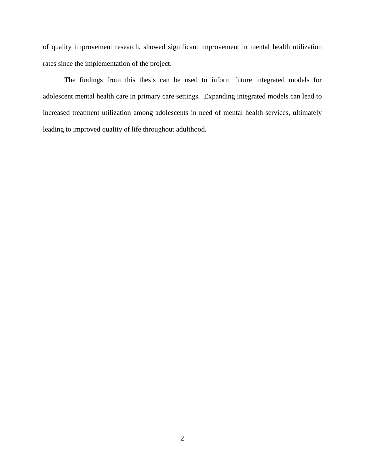of quality improvement research, showed significant improvement in mental health utilization rates since the implementation of the project.

The findings from this thesis can be used to inform future integrated models for adolescent mental health care in primary care settings. Expanding integrated models can lead to increased treatment utilization among adolescents in need of mental health services, ultimately leading to improved quality of life throughout adulthood.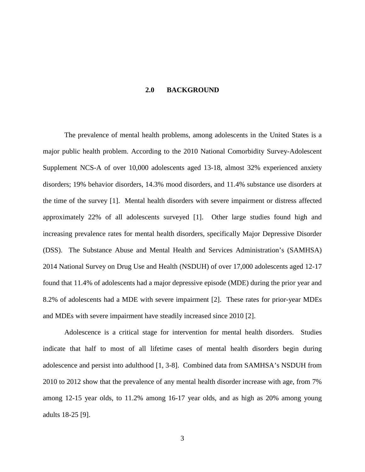#### **2.0 BACKGROUND**

<span id="page-10-0"></span>The prevalence of mental health problems, among adolescents in the United States is a major public health problem. According to the 2010 National Comorbidity Survey-Adolescent Supplement NCS-A of over 10,000 adolescents aged 13-18, almost 32% experienced anxiety disorders; 19% behavior disorders, 14.3% mood disorders, and 11.4% substance use disorders at the time of the survey [\[1\]](#page-59-1). Mental health disorders with severe impairment or distress affected approximately 22% of all adolescents surveyed [\[1\]](#page-59-1). Other large studies found high and increasing prevalence rates for mental health disorders, specifically Major Depressive Disorder (DSS). The Substance Abuse and Mental Health and Services Administration's (SAMHSA) 2014 National Survey on Drug Use and Health (NSDUH) of over 17,000 adolescents aged 12-17 found that 11.4% of adolescents had a major depressive episode (MDE) during the prior year and 8.2% of adolescents had a MDE with severe impairment [\[2\]](#page-59-2). These rates for prior-year MDEs and MDEs with severe impairment have steadily increased since 2010 [\[2\]](#page-59-2).

Adolescence is a critical stage for intervention for mental health disorders. Studies indicate that half to most of all lifetime cases of mental health disorders begin during adolescence and persist into adulthood [\[1,](#page-59-1) [3-8\]](#page-59-3). Combined data from SAMHSA's NSDUH from 2010 to 2012 show that the prevalence of any mental health disorder increase with age, from 7% among 12-15 year olds, to 11.2% among 16-17 year olds, and as high as 20% among young adults 18-25 [\[9\]](#page-59-4).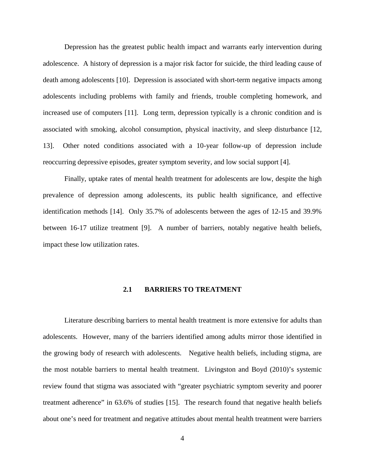Depression has the greatest public health impact and warrants early intervention during adolescence. A history of depression is a major risk factor for suicide, the third leading cause of death among adolescents [\[10\]](#page-59-5). Depression is associated with short-term negative impacts among adolescents including problems with family and friends, trouble completing homework, and increased use of computers [\[11\]](#page-59-6). Long term, depression typically is a chronic condition and is associated with smoking, alcohol consumption, physical inactivity, and sleep disturbance [\[12,](#page-59-7) [13\]](#page-59-8). Other noted conditions associated with a 10-year follow-up of depression include reoccurring depressive episodes, greater symptom severity, and low social support [\[4\]](#page-59-9).

Finally, uptake rates of mental health treatment for adolescents are low, despite the high prevalence of depression among adolescents, its public health significance, and effective identification methods [\[14\]](#page-59-10). Only 35.7% of adolescents between the ages of 12-15 and 39.9% between 16-17 utilize treatment [\[9\]](#page-59-4). A number of barriers, notably negative health beliefs, impact these low utilization rates.

# **2.1 BARRIERS TO TREATMENT**

<span id="page-11-0"></span>Literature describing barriers to mental health treatment is more extensive for adults than adolescents. However, many of the barriers identified among adults mirror those identified in the growing body of research with adolescents. Negative health beliefs, including stigma, are the most notable barriers to mental health treatment. Livingston and Boyd (2010)'s systemic review found that stigma was associated with "greater psychiatric symptom severity and poorer treatment adherence" in 63.6% of studies [\[15\]](#page-60-0). The research found that negative health beliefs about one's need for treatment and negative attitudes about mental health treatment were barriers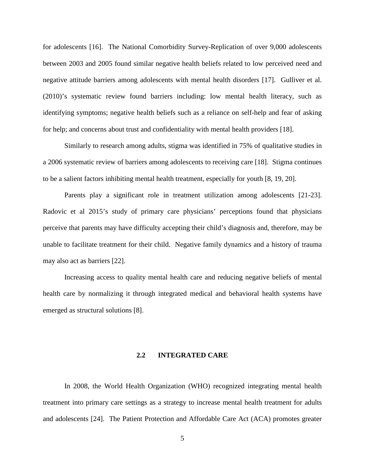for adolescents [\[16\]](#page-60-1). The National Comorbidity Survey-Replication of over 9,000 adolescents between 2003 and 2005 found similar negative health beliefs related to low perceived need and negative attitude barriers among adolescents with mental health disorders [\[17\]](#page-60-2). Gulliver et al. (2010)'s systematic review found barriers including: low mental health literacy, such as identifying symptoms; negative health beliefs such as a reliance on self-help and fear of asking for help; and concerns about trust and confidentiality with mental health providers [\[18\]](#page-60-3).

Similarly to research among adults, stigma was identified in 75% of qualitative studies in a 2006 systematic review of barriers among adolescents to receiving care [\[18\]](#page-60-3). Stigma continues to be a salient factors inhibiting mental health treatment, especially for youth [\[8,](#page-59-11) [19,](#page-60-4) [20\]](#page-60-5).

Parents play a significant role in treatment utilization among adolescents [\[21-23\]](#page-60-6). Radovic et al 2015's study of primary care physicians' perceptions found that physicians perceive that parents may have difficulty accepting their child's diagnosis and, therefore, may be unable to facilitate treatment for their child. Negative family dynamics and a history of trauma may also act as barriers [\[22\]](#page-60-7).

<span id="page-12-0"></span>Increasing access to quality mental health care and reducing negative beliefs of mental health care by normalizing it through integrated medical and behavioral health systems have emerged as structural solutions [\[8\]](#page-59-11).

# **2.2 INTEGRATED CARE**

In 2008, the World Health Organization (WHO) recognized integrating mental health treatment into primary care settings as a strategy to increase mental health treatment for adults and adolescents [\[24\]](#page-60-8). The Patient Protection and Affordable Care Act (ACA) promotes greater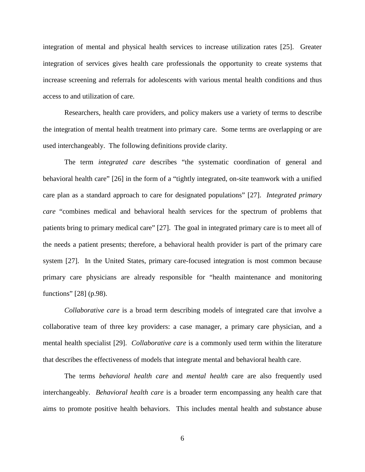integration of mental and physical health services to increase utilization rates [\[25\]](#page-60-9). Greater integration of services gives health care professionals the opportunity to create systems that increase screening and referrals for adolescents with various mental health conditions and thus access to and utilization of care.

Researchers, health care providers, and policy makers use a variety of terms to describe the integration of mental health treatment into primary care. Some terms are overlapping or are used interchangeably. The following definitions provide clarity.

The term *integrated care* describes "the systematic coordination of general and behavioral health care" [\[26\]](#page-60-10) in the form of a "tightly integrated, on-site teamwork with a unified care plan as a standard approach to care for designated populations" [\[27\]](#page-60-11). *Integrated primary care* "combines medical and behavioral health services for the spectrum of problems that patients bring to primary medical care" [\[27\]](#page-60-11). The goal in integrated primary care is to meet all of the needs a patient presents; therefore, a behavioral health provider is part of the primary care system [\[27\]](#page-60-11). In the United States, primary care-focused integration is most common because primary care physicians are already responsible for "health maintenance and monitoring functions" [\[28\]](#page-60-12) (p.98).

*Collaborative care* is a broad term describing models of integrated care that involve a collaborative team of three key providers: a case manager, a primary care physician, and a mental health specialist [\[29\]](#page-60-13). *Collaborative care* is a commonly used term within the literature that describes the effectiveness of models that integrate mental and behavioral health care.

The terms *behavioral health care* and *mental health* care are also frequently used interchangeably. *Behavioral health care* is a broader term encompassing any health care that aims to promote positive health behaviors. This includes mental health and substance abuse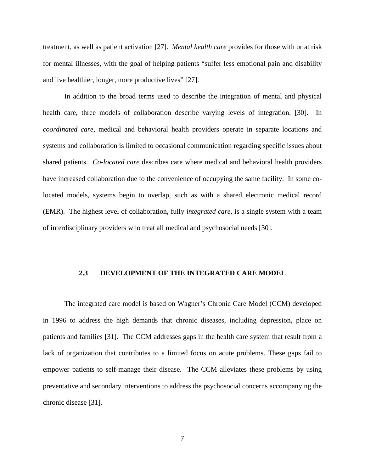treatment, as well as patient activation [\[27\]](#page-60-11). *Mental health care* provides for those with or at risk for mental illnesses, with the goal of helping patients "suffer less emotional pain and disability and live healthier, longer, more productive lives" [\[27\]](#page-60-11).

In addition to the broad terms used to describe the integration of mental and physical health care, three models of collaboration describe varying levels of integration. [\[30\]](#page-60-14). In *coordinated care*, medical and behavioral health providers operate in separate locations and systems and collaboration is limited to occasional communication regarding specific issues about shared patients. *Co-located care* describes care where medical and behavioral health providers have increased collaboration due to the convenience of occupying the same facility. In some colocated models, systems begin to overlap, such as with a shared electronic medical record (EMR). The highest level of collaboration, fully *integrated care,* is a single system with a team of interdisciplinary providers who treat all medical and psychosocial needs [\[30\]](#page-60-14).

#### <span id="page-14-0"></span>**2.3 DEVELOPMENT OF THE INTEGRATED CARE MODEL**

The integrated care model is based on Wagner's Chronic Care Model (CCM) developed in 1996 to address the high demands that chronic diseases, including depression, place on patients and families [\[31\]](#page-60-15). The CCM addresses gaps in the health care system that result from a lack of organization that contributes to a limited focus on acute problems. These gaps fail to empower patients to self-manage their disease. The CCM alleviates these problems by using preventative and secondary interventions to address the psychosocial concerns accompanying the chronic disease [\[31\]](#page-60-15).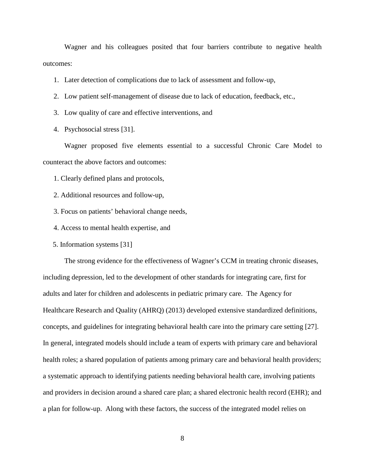Wagner and his colleagues posited that four barriers contribute to negative health outcomes:

- 1. Later detection of complications due to lack of assessment and follow-up,
- 2. Low patient self-management of disease due to lack of education, feedback, etc.,
- 3. Low quality of care and effective interventions, and
- 4. Psychosocial stress [\[31\]](#page-60-15).

Wagner proposed five elements essential to a successful Chronic Care Model to counteract the above factors and outcomes:

1. Clearly defined plans and protocols,

- 2. Additional resources and follow-up,
- 3. Focus on patients' behavioral change needs,
- 4. Access to mental health expertise, and
- 5. Information systems [\[31\]](#page-60-15)

The strong evidence for the effectiveness of Wagner's CCM in treating chronic diseases, including depression, led to the development of other standards for integrating care, first for adults and later for children and adolescents in pediatric primary care. The Agency for Healthcare Research and Quality (AHRQ) (2013) developed extensive standardized definitions, concepts, and guidelines for integrating behavioral health care into the primary care setting [\[27\]](#page-60-11). In general, integrated models should include a team of experts with primary care and behavioral health roles; a shared population of patients among primary care and behavioral health providers; a systematic approach to identifying patients needing behavioral health care, involving patients and providers in decision around a shared care plan; a shared electronic health record (EHR); and a plan for follow-up. Along with these factors, the success of the integrated model relies on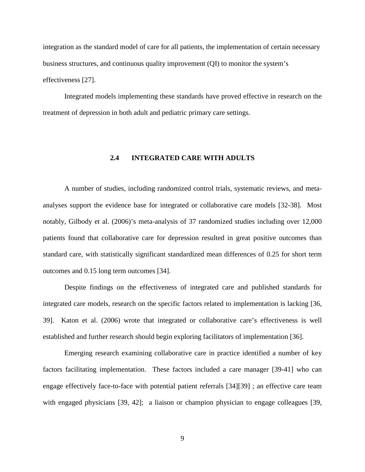integration as the standard model of care for all patients, the implementation of certain necessary business structures, and continuous quality improvement (QI) to monitor the system's effectiveness [\[27\]](#page-60-11).

<span id="page-16-0"></span>Integrated models implementing these standards have proved effective in research on the treatment of depression in both adult and pediatric primary care settings.

# **2.4 INTEGRATED CARE WITH ADULTS**

A number of studies, including randomized control trials, systematic reviews, and metaanalyses support the evidence base for integrated or collaborative care models [\[32-38\]](#page-60-16). Most notably, Gilbody et al. (2006)'s meta-analysis of 37 randomized studies including over 12,000 patients found that collaborative care for depression resulted in great positive outcomes than standard care, with statistically significant standardized mean differences of 0.25 for short term outcomes and 0.15 long term outcomes [\[34\]](#page-61-0).

Despite findings on the effectiveness of integrated care and published standards for integrated care models, research on the specific factors related to implementation is lacking [\[36,](#page-61-1) [39\]](#page-61-2). Katon et al. (2006) wrote that integrated or collaborative care's effectiveness is well established and further research should begin exploring facilitators of implementation [\[36\]](#page-61-1).

Emerging research examining collaborative care in practice identified a number of key factors facilitating implementation. These factors included a care manager [\[39-41\]](#page-61-2) who can engage effectively face-to-face with potential patient referrals [\[34\]](#page-61-0)[\[39\]](#page-61-2) ; an effective care team with engaged physicians [\[39,](#page-61-2) [42\]](#page-61-3); a liaison or champion physician to engage colleagues [39,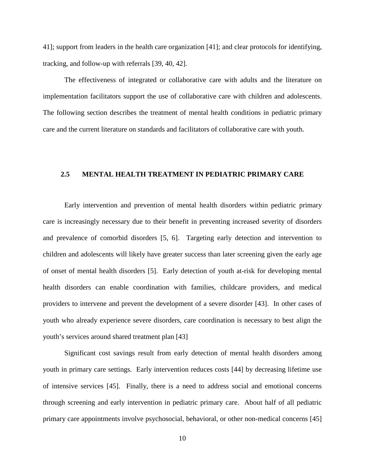[41\]](#page-61-4); support from leaders in the health care organization [\[41\]](#page-61-4); and clear protocols for identifying, tracking, and follow-up with referrals [\[39,](#page-61-2) [40,](#page-61-5) [42\]](#page-61-3).

The effectiveness of integrated or collaborative care with adults and the literature on implementation facilitators support the use of collaborative care with children and adolescents. The following section describes the treatment of mental health conditions in pediatric primary care and the current literature on standards and facilitators of collaborative care with youth.

# <span id="page-17-0"></span>**2.5 MENTAL HEALTH TREATMENT IN PEDIATRIC PRIMARY CARE**

Early intervention and prevention of mental health disorders within pediatric primary care is increasingly necessary due to their benefit in preventing increased severity of disorders and prevalence of comorbid disorders [\[5,](#page-59-12) [6\]](#page-59-13). Targeting early detection and intervention to children and adolescents will likely have greater success than later screening given the early age of onset of mental health disorders [\[5\]](#page-59-12). Early detection of youth at-risk for developing mental health disorders can enable coordination with families, childcare providers, and medical providers to intervene and prevent the development of a severe disorder [\[43\]](#page-61-6). In other cases of youth who already experience severe disorders, care coordination is necessary to best align the youth's services around shared treatment plan [\[43\]](#page-61-6)

Significant cost savings result from early detection of mental health disorders among youth in primary care settings. Early intervention reduces costs [\[44\]](#page-61-7) by decreasing lifetime use of intensive services [\[45\]](#page-61-8). Finally, there is a need to address social and emotional concerns through screening and early intervention in pediatric primary care. About half of all pediatric primary care appointments involve psychosocial, behavioral, or other non-medical concerns [\[45\]](#page-61-8)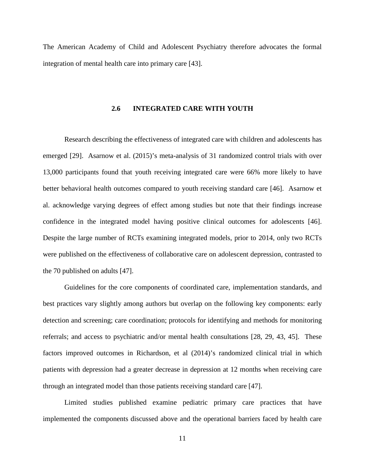<span id="page-18-0"></span>The American Academy of Child and Adolescent Psychiatry therefore advocates the formal integration of mental health care into primary care [\[43\]](#page-61-6).

# **2.6 INTEGRATED CARE WITH YOUTH**

Research describing the effectiveness of integrated care with children and adolescents has emerged [\[29\]](#page-60-13). Asarnow et al. (2015)'s meta-analysis of 31 randomized control trials with over 13,000 participants found that youth receiving integrated care were 66% more likely to have better behavioral health outcomes compared to youth receiving standard care [\[46\]](#page-61-9). Asarnow et al. acknowledge varying degrees of effect among studies but note that their findings increase confidence in the integrated model having positive clinical outcomes for adolescents [\[46\]](#page-61-9). Despite the large number of RCTs examining integrated models, prior to 2014, only two RCTs were published on the effectiveness of collaborative care on adolescent depression, contrasted to the 70 published on adults [\[47\]](#page-61-10).

Guidelines for the core components of coordinated care, implementation standards, and best practices vary slightly among authors but overlap on the following key components: early detection and screening; care coordination; protocols for identifying and methods for monitoring referrals; and access to psychiatric and/or mental health consultations [\[28,](#page-60-12) [29,](#page-60-13) [43,](#page-61-6) [45\]](#page-61-8). These factors improved outcomes in Richardson, et al (2014)'s randomized clinical trial in which patients with depression had a greater decrease in depression at 12 months when receiving care through an integrated model than those patients receiving standard care [\[47\]](#page-61-10).

Limited studies published examine pediatric primary care practices that have implemented the components discussed above and the operational barriers faced by health care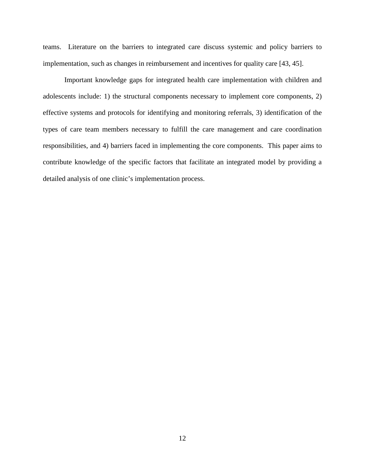teams. Literature on the barriers to integrated care discuss systemic and policy barriers to implementation, such as changes in reimbursement and incentives for quality care [\[43,](#page-61-6) [45\]](#page-61-8).

Important knowledge gaps for integrated health care implementation with children and adolescents include: 1) the structural components necessary to implement core components, 2) effective systems and protocols for identifying and monitoring referrals, 3) identification of the types of care team members necessary to fulfill the care management and care coordination responsibilities, and 4) barriers faced in implementing the core components. This paper aims to contribute knowledge of the specific factors that facilitate an integrated model by providing a detailed analysis of one clinic's implementation process.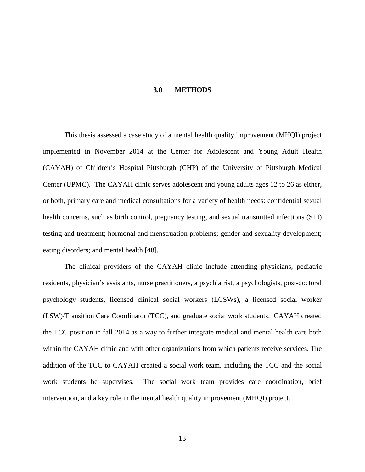#### **3.0 METHODS**

<span id="page-20-0"></span>This thesis assessed a case study of a mental health quality improvement (MHQI) project implemented in November 2014 at the Center for Adolescent and Young Adult Health (CAYAH) of Children's Hospital Pittsburgh (CHP) of the University of Pittsburgh Medical Center (UPMC). The CAYAH clinic serves adolescent and young adults ages 12 to 26 as either, or both, primary care and medical consultations for a variety of health needs: confidential sexual health concerns, such as birth control, pregnancy testing, and sexual transmitted infections (STI) testing and treatment; hormonal and menstruation problems; gender and sexuality development; eating disorders; and mental health [\[48\]](#page-61-11).

The clinical providers of the CAYAH clinic include attending physicians, pediatric residents, physician's assistants, nurse practitioners, a psychiatrist, a psychologists, post-doctoral psychology students, licensed clinical social workers (LCSWs), a licensed social worker (LSW)/Transition Care Coordinator (TCC), and graduate social work students. CAYAH created the TCC position in fall 2014 as a way to further integrate medical and mental health care both within the CAYAH clinic and with other organizations from which patients receive services. The addition of the TCC to CAYAH created a social work team, including the TCC and the social work students he supervises. The social work team provides care coordination, brief intervention, and a key role in the mental health quality improvement (MHQI) project.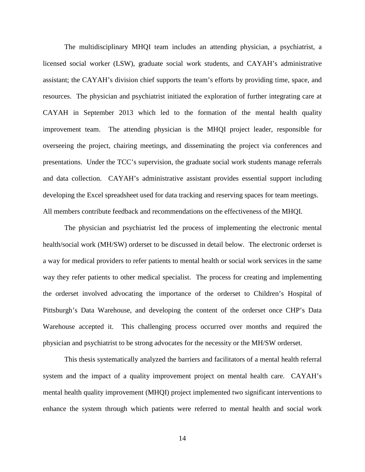The multidisciplinary MHQI team includes an attending physician, a psychiatrist, a licensed social worker (LSW), graduate social work students, and CAYAH's administrative assistant; the CAYAH's division chief supports the team's efforts by providing time, space, and resources. The physician and psychiatrist initiated the exploration of further integrating care at CAYAH in September 2013 which led to the formation of the mental health quality improvement team. The attending physician is the MHQI project leader, responsible for overseeing the project, chairing meetings, and disseminating the project via conferences and presentations. Under the TCC's supervision, the graduate social work students manage referrals and data collection. CAYAH's administrative assistant provides essential support including developing the Excel spreadsheet used for data tracking and reserving spaces for team meetings. All members contribute feedback and recommendations on the effectiveness of the MHQI.

The physician and psychiatrist led the process of implementing the electronic mental health/social work (MH/SW) orderset to be discussed in detail below. The electronic orderset is a way for medical providers to refer patients to mental health or social work services in the same way they refer patients to other medical specialist. The process for creating and implementing the orderset involved advocating the importance of the orderset to Children's Hospital of Pittsburgh's Data Warehouse, and developing the content of the orderset once CHP's Data Warehouse accepted it. This challenging process occurred over months and required the physician and psychiatrist to be strong advocates for the necessity or the MH/SW orderset.

This thesis systematically analyzed the barriers and facilitators of a mental health referral system and the impact of a quality improvement project on mental health care. CAYAH's mental health quality improvement (MHQI) project implemented two significant interventions to enhance the system through which patients were referred to mental health and social work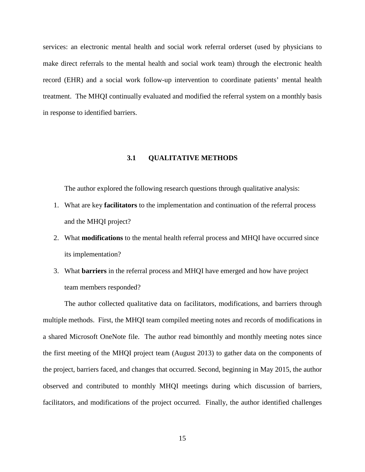services: an electronic mental health and social work referral orderset (used by physicians to make direct referrals to the mental health and social work team) through the electronic health record (EHR) and a social work follow-up intervention to coordinate patients' mental health treatment. The MHQI continually evaluated and modified the referral system on a monthly basis in response to identified barriers.

## **3.1 QUALITATIVE METHODS**

<span id="page-22-0"></span>The author explored the following research questions through qualitative analysis:

- 1. What are key **facilitators** to the implementation and continuation of the referral process and the MHQI project?
- 2. What **modifications** to the mental health referral process and MHQI have occurred since its implementation?
- 3. What **barriers** in the referral process and MHQI have emerged and how have project team members responded?

The author collected qualitative data on facilitators, modifications, and barriers through multiple methods. First, the MHQI team compiled meeting notes and records of modifications in a shared Microsoft OneNote file. The author read bimonthly and monthly meeting notes since the first meeting of the MHQI project team (August 2013) to gather data on the components of the project, barriers faced, and changes that occurred. Second, beginning in May 2015, the author observed and contributed to monthly MHQI meetings during which discussion of barriers, facilitators, and modifications of the project occurred. Finally, the author identified challenges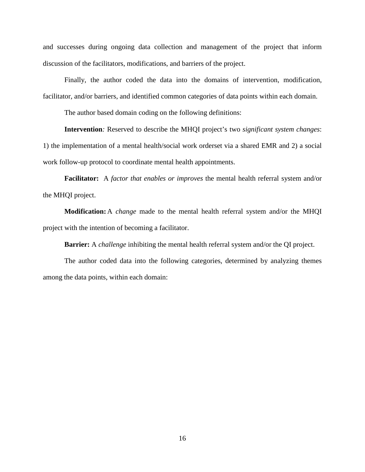and successes during ongoing data collection and management of the project that inform discussion of the facilitators, modifications, and barriers of the project.

Finally, the author coded the data into the domains of intervention, modification, facilitator, and/or barriers, and identified common categories of data points within each domain.

The author based domain coding on the following definitions:

**Intervention***:* Reserved to describe the MHQI project's two *significant system changes*: 1) the implementation of a mental health/social work orderset via a shared EMR and 2) a social work follow-up protocol to coordinate mental health appointments.

**Facilitator:**A *factor that enables or improves* the mental health referral system and/or the MHQI project.

**Modification:** A *change* made to the mental health referral system and/or the MHQI project with the intention of becoming a facilitator.

**Barrier:** A *challenge* inhibiting the mental health referral system and/or the QI project.

The author coded data into the following categories, determined by analyzing themes among the data points, within each domain: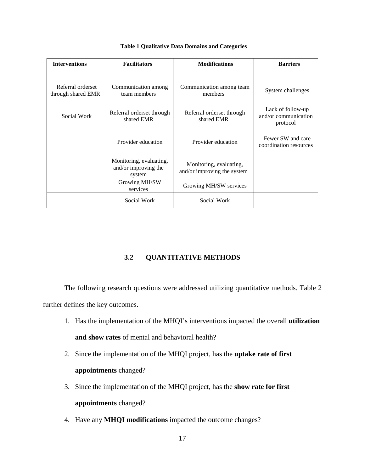<span id="page-24-1"></span>

| <b>Interventions</b>                    | <b>Facilitators</b>                                       | <b>Modifications</b>                                   | <b>Barriers</b>                                       |
|-----------------------------------------|-----------------------------------------------------------|--------------------------------------------------------|-------------------------------------------------------|
| Referral orderset<br>through shared EMR | Communication among<br>team members                       | Communication among team<br>members                    | System challenges                                     |
| Social Work                             | Referral orderset through<br>shared EMR                   | Referral orderset through<br>shared EMR                | Lack of follow-up<br>and/or communication<br>protocol |
|                                         | Provider education                                        | Provider education                                     | Fewer SW and care<br>coordination resources           |
|                                         | Monitoring, evaluating,<br>and/or improving the<br>system | Monitoring, evaluating,<br>and/or improving the system |                                                       |
|                                         | Growing MH/SW<br>services                                 | Growing MH/SW services                                 |                                                       |
|                                         | Social Work                                               | Social Work                                            |                                                       |

#### **Table 1 Qualitative Data Domains and Categories**

# **3.2 QUANTITATIVE METHODS**

<span id="page-24-0"></span>The following research questions were addressed utilizing quantitative methods. Table 2 further defines the key outcomes.

- 1. Has the implementation of the MHQI's interventions impacted the overall **utilization and show rates** of mental and behavioral health?
- 2. Since the implementation of the MHQI project, has the **uptake rate of first appointments** changed?
- 3. Since the implementation of the MHQI project, has the **show rate for first appointments** changed?
- 4. Have any **MHQI modifications** impacted the outcome changes?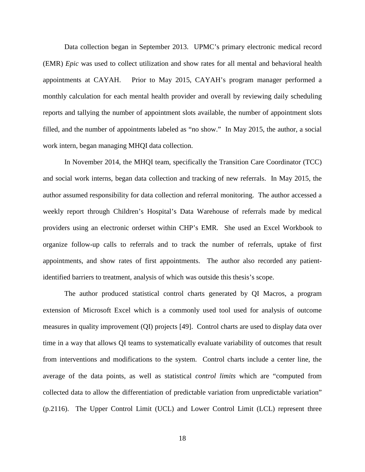Data collection began in September 2013. UPMC's primary electronic medical record (EMR) *Epic* was used to collect utilization and show rates for all mental and behavioral health appointments at CAYAH. Prior to May 2015, CAYAH's program manager performed a monthly calculation for each mental health provider and overall by reviewing daily scheduling reports and tallying the number of appointment slots available, the number of appointment slots filled, and the number of appointments labeled as "no show." In May 2015, the author, a social work intern, began managing MHQI data collection.

In November 2014, the MHQI team, specifically the Transition Care Coordinator (TCC) and social work interns, began data collection and tracking of new referrals. In May 2015, the author assumed responsibility for data collection and referral monitoring. The author accessed a weekly report through Children's Hospital's Data Warehouse of referrals made by medical providers using an electronic orderset within CHP's EMR*.* She used an Excel Workbook to organize follow-up calls to referrals and to track the number of referrals, uptake of first appointments, and show rates of first appointments. The author also recorded any patientidentified barriers to treatment, analysis of which was outside this thesis's scope.

The author produced statistical control charts generated by QI Macros, a program extension of Microsoft Excel which is a commonly used tool used for analysis of outcome measures in quality improvement (QI) projects [\[49\]](#page-61-12). Control charts are used to display data over time in a way that allows QI teams to systematically evaluate variability of outcomes that result from interventions and modifications to the system. Control charts include a center line, the average of the data points, as well as statistical *control limits* which are "computed from collected data to allow the differentiation of predictable variation from unpredictable variation" (p.2116). The Upper Control Limit (UCL) and Lower Control Limit (LCL) represent three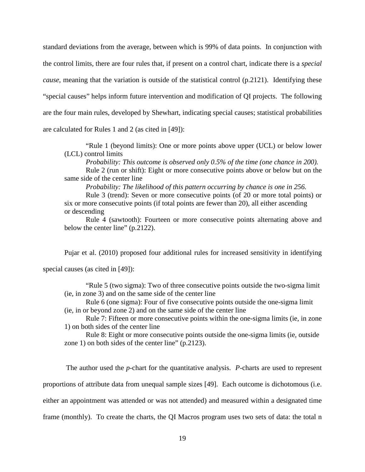standard deviations from the average, between which is 99% of data points. In conjunction with the control limits, there are four rules that, if present on a control chart, indicate there is a *special cause*, meaning that the variation is outside of the statistical control (p.2121). Identifying these "special causes" helps inform future intervention and modification of QI projects. The following are the four main rules, developed by Shewhart, indicating special causes; statistical probabilities are calculated for Rules 1 and 2 (as cited in [\[49\]](#page-61-12)):

"Rule 1 (beyond limits): One or more points above upper (UCL) or below lower (LCL) control limits

*Probability: This outcome is observed only 0.5% of the time (one chance in 200).* 

Rule 2 (run or shift): Eight or more consecutive points above or below but on the same side of the center line

*Probability: The likelihood of this pattern occurring by chance is one in 256.*

Rule 3 (trend): Seven or more consecutive points (of 20 or more total points) or six or more consecutive points (if total points are fewer than 20), all either ascending or descending

Rule 4 (sawtooth): Fourteen or more consecutive points alternating above and below the center line" (p.2122).

Pujar et al. (2010) proposed four additional rules for increased sensitivity in identifying

special causes (as cited in [\[49\]](#page-61-12)):

"Rule 5 (two sigma): Two of three consecutive points outside the two-sigma limit (ie, in zone 3) and on the same side of the center line

Rule 6 (one sigma): Four of five consecutive points outside the one-sigma limit (ie, in or beyond zone 2) and on the same side of the center line

Rule 7: Fifteen or more consecutive points within the one-sigma limits (ie, in zone 1) on both sides of the center line

Rule 8: Eight or more consecutive points outside the one-sigma limits (ie, outside zone 1) on both sides of the center line" (p.2123).

The author used the *p*-chart for the quantitative analysis. *P*-charts are used to represent proportions of attribute data from unequal sample sizes [\[49\]](#page-61-12). Each outcome is dichotomous (i.e. either an appointment was attended or was not attended) and measured within a designated time frame (monthly). To create the charts, the QI Macros program uses two sets of data: the total n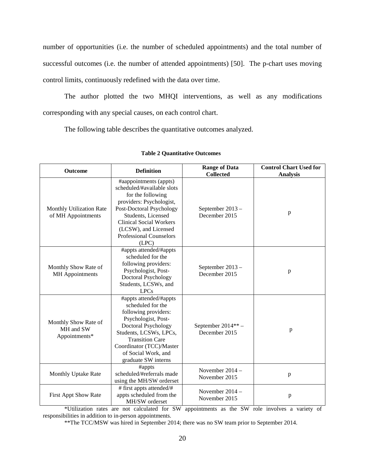number of opportunities (i.e. the number of scheduled appointments) and the total number of successful outcomes (i.e. the number of attended appointments) [\[50\]](#page-61-13). The p-chart uses moving control limits, continuously redefined with the data over time.

The author plotted the two MHQI interventions, as well as any modifications corresponding with any special causes, on each control chart.

The following table describes the quantitative outcomes analyzed.

<span id="page-27-0"></span>

| <b>Outcome</b>                                     | <b>Range of Data</b><br><b>Definition</b><br><b>Collected</b>                                                                                                                                                                                                |                                    | <b>Control Chart Used for</b><br><b>Analysis</b> |
|----------------------------------------------------|--------------------------------------------------------------------------------------------------------------------------------------------------------------------------------------------------------------------------------------------------------------|------------------------------------|--------------------------------------------------|
| Monthly Utilization Rate<br>of MH Appointments     | #aappointments (appts)<br>scheduled/#available slots<br>for the following<br>providers: Psychologist,<br>Post-Doctoral Psychology<br>Students, Licensed<br><b>Clinical Social Workers</b><br>(LCSW), and Licensed<br><b>Professional Counselors</b><br>(LPC) | September 2013 -<br>December 2015  | p                                                |
| Monthly Show Rate of<br><b>MH</b> Appointments     | #appts attended/#appts<br>scheduled for the<br>following providers:<br>Psychologist, Post-<br>Doctoral Psychology<br>Students, LCSWs, and<br><b>LPCs</b>                                                                                                     | September 2013 -<br>December 2015  | p                                                |
| Monthly Show Rate of<br>MH and SW<br>Appointments* | #appts attended/#appts<br>scheduled for the<br>following providers:<br>Psychologist, Post-<br>Doctoral Psychology<br>Students, LCSWs, LPCs,<br><b>Transition Care</b><br>Coordinator (TCC)/Master<br>of Social Work, and<br>graduate SW interns              | September 2014**-<br>December 2015 | p                                                |
| Monthly Uptake Rate                                | #appts<br>scheduled/#referrals made<br>using the MH/SW orderset                                                                                                                                                                                              | November 2014 -<br>November 2015   | p                                                |
| First Appt Show Rate                               | # first appts attended/#<br>appts scheduled from the<br>MH/SW orderset                                                                                                                                                                                       | November $2014 -$<br>November 2015 | $\mathbf{p}$                                     |

## **Table 2 Quantitative Outcomes**

\*Utilization rates are not calculated for SW appointments as the SW role involves a variety of responsibilities in addition to in-person appointments.

\*\*The TCC/MSW was hired in September 2014; there was no SW team prior to September 2014.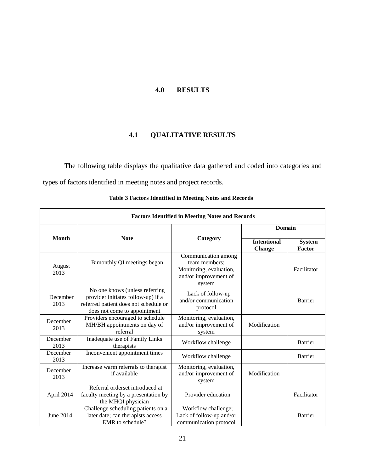# **4.0 RESULTS**

# **4.1 QUALITATIVE RESULTS**

<span id="page-28-1"></span><span id="page-28-0"></span>The following table displays the qualitative data gathered and coded into categories and types of factors identified in meeting notes and project records.

<span id="page-28-2"></span>

| <b>Factors Identified in Meeting Notes and Records</b> |                                                                                                                                               |                                                                                                    |                                     |                         |  |
|--------------------------------------------------------|-----------------------------------------------------------------------------------------------------------------------------------------------|----------------------------------------------------------------------------------------------------|-------------------------------------|-------------------------|--|
|                                                        | <b>Note</b>                                                                                                                                   |                                                                                                    | <b>Domain</b>                       |                         |  |
| <b>Month</b>                                           |                                                                                                                                               | Category                                                                                           | <b>Intentional</b><br><b>Change</b> | <b>System</b><br>Factor |  |
| August<br>2013                                         | Bimonthly QI meetings began                                                                                                                   | Communication among<br>team members;<br>Monitoring, evaluation,<br>and/or improvement of<br>system |                                     | Facilitator             |  |
| December<br>2013                                       | No one knows (unless referring<br>provider initiates follow-up) if a<br>referred patient does not schedule or<br>does not come to appointment | Lack of follow-up<br>and/or communication<br>protocol                                              |                                     | Barrier                 |  |
| December<br>2013                                       | Providers encouraged to schedule<br>MH/BH appointments on day of<br>referral                                                                  | Monitoring, evaluation,<br>and/or improvement of<br>system                                         | Modification                        |                         |  |
| December<br>2013                                       | Inadequate use of Family Links<br>therapists                                                                                                  | Workflow challenge                                                                                 |                                     | Barrier                 |  |
| December<br>2013                                       | Inconvenient appointment times                                                                                                                | Workflow challenge                                                                                 |                                     | Barrier                 |  |
| December<br>2013                                       | Increase warm referrals to therapist<br>if available                                                                                          | Monitoring, evaluation,<br>and/or improvement of<br>system                                         | Modification                        |                         |  |
| April 2014                                             | Referral orderset introduced at<br>faculty meeting by a presentation by<br>the MHQI physician                                                 | Provider education                                                                                 |                                     | Facilitator             |  |
| June 2014                                              | Challenge scheduling patients on a<br>later date; can therapists access<br>EMR to schedule?                                                   | Workflow challenge;<br>Lack of follow-up and/or<br>communication protocol                          |                                     | Barrier                 |  |

**Table 3 Factors Identified in Meeting Notes and Records**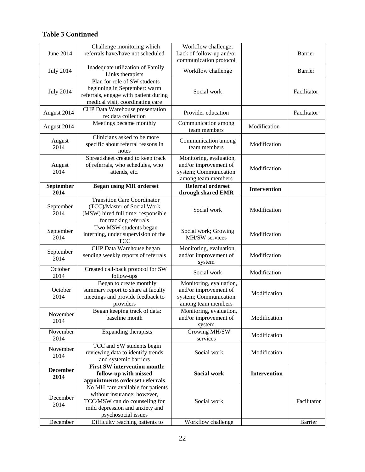# **Table 3 Continued**

| June 2014               | Challenge monitoring which<br>referrals have/have not scheduled                                                                                             | Workflow challenge;<br>Lack of follow-up and/or<br>communication protocol                       |                     | Barrier     |
|-------------------------|-------------------------------------------------------------------------------------------------------------------------------------------------------------|-------------------------------------------------------------------------------------------------|---------------------|-------------|
| <b>July 2014</b>        | Inadequate utilization of Family<br>Links therapists                                                                                                        | Workflow challenge                                                                              |                     | Barrier     |
| <b>July 2014</b>        | Plan for role of SW students<br>beginning in September: warm<br>referrals, engage with patient during<br>medical visit, coordinating care                   | Social work                                                                                     |                     | Facilitator |
| August 2014             | CHP Data Warehouse presentation<br>re: data collection                                                                                                      | Provider education                                                                              |                     | Facilitator |
| August 2014             | Meetings became monthly                                                                                                                                     | Communication among<br>team members                                                             | Modification        |             |
| August<br>2014          | Clinicians asked to be more<br>specific about referral reasons in<br>notes                                                                                  | Communication among<br>team members                                                             | Modification        |             |
| August<br>2014          | Spreadsheet created to keep track<br>of referrals, who schedules, who<br>attends, etc.                                                                      | Monitoring, evaluation,<br>and/or improvement of<br>system; Communication<br>among team members | Modification        |             |
| September<br>2014       | <b>Began using MH orderset</b>                                                                                                                              | <b>Referral orderset</b><br>through shared EMR                                                  | <b>Intervention</b> |             |
| September<br>2014       | <b>Transition Care Coordinator</b><br>(TCC)/Master of Social Work<br>(MSW) hired full time; responsible<br>for tracking referrals                           | Social work                                                                                     | Modification        |             |
| September<br>2014       | Two MSW students began<br>interning, under supervision of the<br><b>TCC</b>                                                                                 | Social work; Growing<br>MH/SW services                                                          | Modification        |             |
| September<br>2014       | CHP Data Warehouse began<br>sending weekly reports of referrals                                                                                             | Monitoring, evaluation,<br>and/or improvement of<br>system                                      | Modification        |             |
| October<br>2014         | Created call-back protocol for SW<br>follow-ups                                                                                                             | Social work                                                                                     | Modification        |             |
| October<br>2014         | Began to create monthly<br>summary report to share at faculty<br>meetings and provide feedback to<br>providers                                              | Monitoring, evaluation,<br>and/or improvement of<br>system; Communication<br>among team members | Modification        |             |
| November<br>2014        | Began keeping track of data:<br>baseline month                                                                                                              | Monitoring, evaluation,<br>and/or improvement of<br>system                                      | Modification        |             |
| November<br>2014        | Expanding therapists                                                                                                                                        | Growing MH/SW<br>services                                                                       | Modification        |             |
| November<br>2014        | TCC and SW students begin<br>reviewing data to identify trends<br>and systemic barriers                                                                     | Social work                                                                                     | Modification        |             |
| <b>December</b><br>2014 | <b>First SW intervention month:</b><br>follow-up with missed<br>appointments orderset referrals                                                             | <b>Social work</b>                                                                              | <b>Intervention</b> |             |
| December<br>2014        | No MH care available for patients<br>without insurance; however,<br>TCC/MSW can do counseling for<br>mild depression and anxiety and<br>psychosocial issues | Social work                                                                                     |                     | Facilitator |
| December                | Difficulty reaching patients to                                                                                                                             | Workflow challenge                                                                              |                     | Barrier     |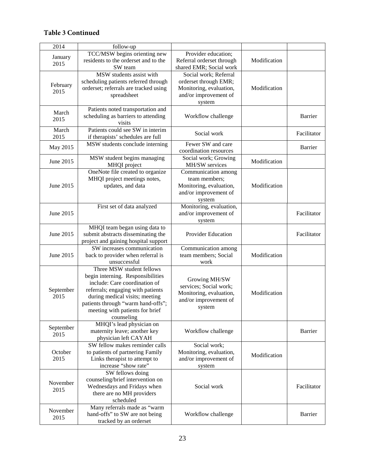# **Table 3 Continued**

| 2014      | follow-up                             |                           |              |                |
|-----------|---------------------------------------|---------------------------|--------------|----------------|
|           | TCC/MSW begins orienting new          |                           |              |                |
| January   | residents to the orderset and to the  | Provider education;       |              |                |
| 2015      |                                       | Referral orderset through | Modification |                |
|           | SW team                               | shared EMR; Social work   |              |                |
|           | MSW students assist with              | Social work; Referral     |              |                |
| February  | scheduling patients referred through  | orderset through EMR;     |              |                |
| 2015      | orderset; referrals are tracked using | Monitoring, evaluation,   | Modification |                |
|           | spreadsheet                           | and/or improvement of     |              |                |
|           |                                       | system                    |              |                |
| March     | Patients noted transportation and     |                           |              |                |
| 2015      | scheduling as barriers to attending   | Workflow challenge        |              | <b>Barrier</b> |
|           | visits                                |                           |              |                |
| March     | Patients could see SW in interim      | Social work               |              | Facilitator    |
| 2015      | if therapists' schedules are full     |                           |              |                |
| May 2015  | MSW students conclude interning       | Fewer SW and care         |              | Barrier        |
|           |                                       | coordination resources    |              |                |
| June 2015 | MSW student begins managing           | Social work; Growing      | Modification |                |
|           | MHQI project                          | MH/SW services            |              |                |
|           | OneNote file created to organize      | Communication among       |              |                |
|           | MHQI project meetings notes,          | team members;             |              |                |
| June 2015 | updates, and data                     | Monitoring, evaluation,   | Modification |                |
|           |                                       | and/or improvement of     |              |                |
|           |                                       | system                    |              |                |
|           | First set of data analyzed            | Monitoring, evaluation,   |              |                |
| June 2015 |                                       | and/or improvement of     |              | Facilitator    |
|           |                                       | system                    |              |                |
|           | MHQI team began using data to         |                           |              |                |
| June 2015 | submit abstracts disseminating the    | Provider Education        |              | Facilitator    |
|           | project and gaining hospital support  |                           |              |                |
|           | SW increases communication            | Communication among       |              |                |
| June 2015 | back to provider when referral is     | team members; Social      | Modification |                |
|           | unsuccessful                          | work                      |              |                |
|           | Three MSW student fellows             |                           |              |                |
|           | begin interning. Responsibilities     |                           |              |                |
|           | include: Care coordination of         | Growing MH/SW             |              |                |
| September | referrals; engaging with patients     | services; Social work;    |              |                |
| 2015      | during medical visits; meeting        | Monitoring, evaluation,   | Modification |                |
|           | patients through "warm hand-offs";    | and/or improvement of     |              |                |
|           | meeting with patients for brief       | system                    |              |                |
|           | counseling                            |                           |              |                |
|           | MHQI's lead physician on              |                           |              |                |
| September | maternity leave; another key          | Workflow challenge        |              | Barrier        |
| 2015      | physician left CAYAH                  |                           |              |                |
|           | SW fellow makes reminder calls        | Social work;              |              |                |
| October   | to patients of partnering Family      | Monitoring, evaluation,   |              |                |
| 2015      | Links therapist to attempt to         | and/or improvement of     | Modification |                |
|           | increase "show rate"                  | system                    |              |                |
|           | SW fellows doing                      |                           |              |                |
|           | counseling/brief intervention on      |                           |              |                |
| November  | Wednesdays and Fridays when           | Social work               |              | Facilitator    |
| 2015      | there are no MH providers             |                           |              |                |
|           | scheduled                             |                           |              |                |
|           | Many referrals made as "warm          |                           |              |                |
| November  | hand-offs" to SW are not being        | Workflow challenge        |              | Barrier        |
| 2015      | tracked by an orderset                |                           |              |                |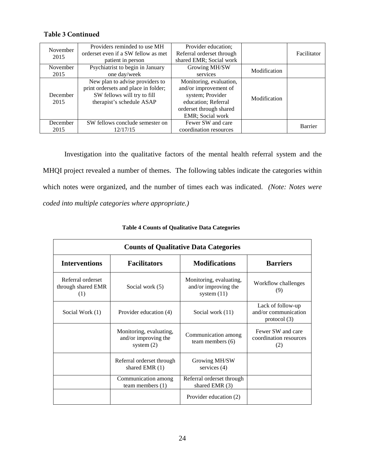# **Table 3 Continued**

| November | Providers reminded to use MH         | Provider education;       |              |             |
|----------|--------------------------------------|---------------------------|--------------|-------------|
| 2015     | orderset even if a SW fellow as met  | Referral orderset through |              | Facilitator |
|          | patient in person                    | shared EMR; Social work   |              |             |
| November | Psychiatrist to begin in January     | Growing MH/SW             | Modification |             |
| 2015     | one day/week                         | services                  |              |             |
|          | New plan to advise providers to      | Monitoring, evaluation,   |              |             |
|          | print ordersets and place in folder; | and/or improvement of     |              |             |
| December | SW fellows will try to fill          | system; Provider          | Modification |             |
| 2015     | therapist's schedule ASAP            | education; Referral       |              |             |
|          |                                      | orderset through shared   |              |             |
|          |                                      | <b>EMR</b> ; Social work  |              |             |
| December | SW fellows conclude semester on      | Fewer SW and care         |              | Barrier     |
| 2015     | 12/17/15                             | coordination resources    |              |             |

Investigation into the qualitative factors of the mental health referral system and the MHQI project revealed a number of themes. The following tables indicate the categories within which notes were organized, and the number of times each was indicated. *(Note: Notes were coded into multiple categories where appropriate.)* 

<span id="page-31-0"></span>

| <b>Counts of Qualitative Data Categories</b>   |                                                                 |                                                                  |                                                           |  |  |  |
|------------------------------------------------|-----------------------------------------------------------------|------------------------------------------------------------------|-----------------------------------------------------------|--|--|--|
| <b>Interventions</b>                           | <b>Facilitators</b>                                             | <b>Modifications</b>                                             | <b>Barriers</b>                                           |  |  |  |
| Referral orderset<br>through shared EMR<br>(1) | Social work (5)                                                 | Monitoring, evaluating,<br>and/or improving the<br>system $(11)$ | Workflow challenges<br>(9)                                |  |  |  |
| Social Work (1)                                | Provider education (4)                                          | Social work (11)                                                 | Lack of follow-up<br>and/or communication<br>protocol (3) |  |  |  |
|                                                | Monitoring, evaluating,<br>and/or improving the<br>system $(2)$ | Communication among<br>team members $(6)$                        | Fewer SW and care<br>coordination resources<br>(2)        |  |  |  |
|                                                | Referral orderset through<br>shared EMR $(1)$                   | Growing MH/SW<br>services (4)                                    |                                                           |  |  |  |
|                                                | Communication among<br>team members $(1)$                       | Referral orderset through<br>shared EMR (3)                      |                                                           |  |  |  |
|                                                |                                                                 | Provider education (2)                                           |                                                           |  |  |  |

**Table 4 Counts of Qualitative Data Categories**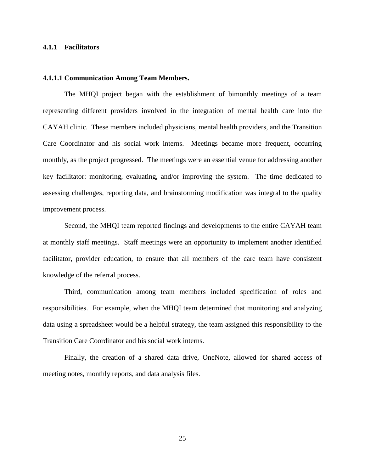## <span id="page-32-0"></span>**4.1.1 Facilitators**

#### <span id="page-32-1"></span>**4.1.1.1 Communication Among Team Members.**

The MHQI project began with the establishment of bimonthly meetings of a team representing different providers involved in the integration of mental health care into the CAYAH clinic. These members included physicians, mental health providers, and the Transition Care Coordinator and his social work interns. Meetings became more frequent, occurring monthly, as the project progressed. The meetings were an essential venue for addressing another key facilitator: monitoring, evaluating, and/or improving the system. The time dedicated to assessing challenges, reporting data, and brainstorming modification was integral to the quality improvement process.

Second, the MHQI team reported findings and developments to the entire CAYAH team at monthly staff meetings. Staff meetings were an opportunity to implement another identified facilitator, provider education, to ensure that all members of the care team have consistent knowledge of the referral process.

Third, communication among team members included specification of roles and responsibilities. For example, when the MHQI team determined that monitoring and analyzing data using a spreadsheet would be a helpful strategy, the team assigned this responsibility to the Transition Care Coordinator and his social work interns.

Finally, the creation of a shared data drive, OneNote, allowed for shared access of meeting notes, monthly reports, and data analysis files.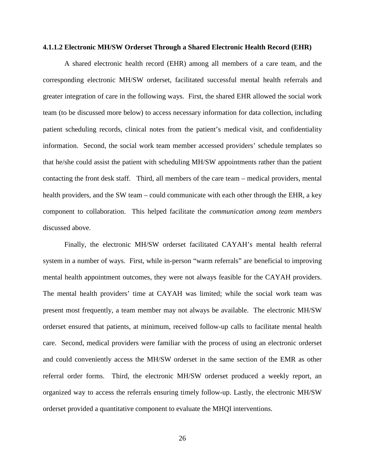#### <span id="page-33-0"></span>**4.1.1.2 Electronic MH/SW Orderset Through a Shared Electronic Health Record (EHR)**

A shared electronic health record (EHR) among all members of a care team, and the corresponding electronic MH/SW orderset, facilitated successful mental health referrals and greater integration of care in the following ways. First, the shared EHR allowed the social work team (to be discussed more below) to access necessary information for data collection, including patient scheduling records, clinical notes from the patient's medical visit, and confidentiality information. Second, the social work team member accessed providers' schedule templates so that he/she could assist the patient with scheduling MH/SW appointments rather than the patient contacting the front desk staff. Third, all members of the care team – medical providers, mental health providers, and the SW team – could communicate with each other through the EHR, a key component to collaboration. This helped facilitate the *communication among team members* discussed above.

Finally, the electronic MH/SW orderset facilitated CAYAH's mental health referral system in a number of ways. First, while in-person "warm referrals" are beneficial to improving mental health appointment outcomes, they were not always feasible for the CAYAH providers. The mental health providers' time at CAYAH was limited; while the social work team was present most frequently, a team member may not always be available. The electronic MH/SW orderset ensured that patients, at minimum, received follow-up calls to facilitate mental health care. Second, medical providers were familiar with the process of using an electronic orderset and could conveniently access the MH/SW orderset in the same section of the EMR as other referral order forms. Third, the electronic MH/SW orderset produced a weekly report, an organized way to access the referrals ensuring timely follow-up. Lastly, the electronic MH/SW orderset provided a quantitative component to evaluate the MHQI interventions.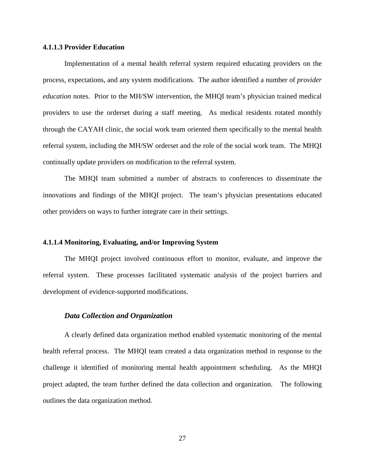## <span id="page-34-0"></span>**4.1.1.3 Provider Education**

Implementation of a mental health referral system required educating providers on the process, expectations, and any system modifications. The author identified a number of *provider education* notes. Prior to the MH/SW intervention, the MHQI team's physician trained medical providers to use the orderset during a staff meeting. As medical residents rotated monthly through the CAYAH clinic, the social work team oriented them specifically to the mental health referral system, including the MH/SW orderset and the role of the social work team. The MHQI continually update providers on modification to the referral system.

The MHQI team submitted a number of abstracts to conferences to disseminate the innovations and findings of the MHQI project. The team's physician presentations educated other providers on ways to further integrate care in their settings.

## <span id="page-34-1"></span>**4.1.1.4 Monitoring, Evaluating, and/or Improving System**

The MHQI project involved continuous effort to monitor, evaluate, and improve the referral system. These processes facilitated systematic analysis of the project barriers and development of evidence-supported modifications.

# *Data Collection and Organization*

A clearly defined data organization method enabled systematic monitoring of the mental health referral process. The MHQI team created a data organization method in response to the challenge it identified of monitoring mental health appointment scheduling. As the MHQI project adapted, the team further defined the data collection and organization. The following outlines the data organization method.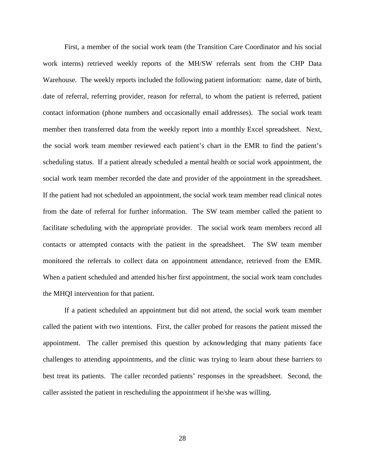First, a member of the social work team (the Transition Care Coordinator and his social work interns) retrieved weekly reports of the MH/SW referrals sent from the CHP Data Warehouse. The weekly reports included the following patient information: name, date of birth, date of referral, referring provider, reason for referral, to whom the patient is referred, patient contact information (phone numbers and occasionally email addresses). The social work team member then transferred data from the weekly report into a monthly Excel spreadsheet. Next, the social work team member reviewed each patient's chart in the EMR to find the patient's scheduling status. If a patient already scheduled a mental health or social work appointment, the social work team member recorded the date and provider of the appointment in the spreadsheet. If the patient had not scheduled an appointment, the social work team member read clinical notes from the date of referral for further information. The SW team member called the patient to facilitate scheduling with the appropriate provider. The social work team members record all contacts or attempted contacts with the patient in the spreadsheet. The SW team member monitored the referrals to collect data on appointment attendance, retrieved from the EMR. When a patient scheduled and attended his/her first appointment, the social work team concludes the MHQI intervention for that patient.

If a patient scheduled an appointment but did not attend, the social work team member called the patient with two intentions. First, the caller probed for reasons the patient missed the appointment. The caller premised this question by acknowledging that many patients face challenges to attending appointments, and the clinic was trying to learn about these barriers to best treat its patients. The caller recorded patients' responses in the spreadsheet. Second, the caller assisted the patient in rescheduling the appointment if he/she was willing.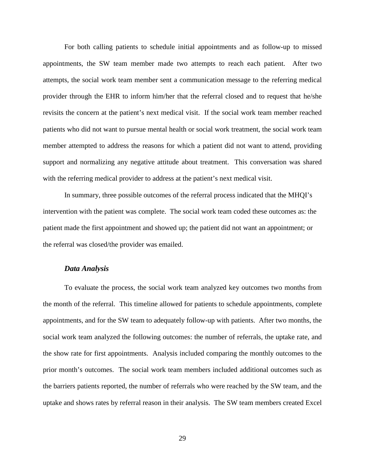For both calling patients to schedule initial appointments and as follow-up to missed appointments, the SW team member made two attempts to reach each patient. After two attempts, the social work team member sent a communication message to the referring medical provider through the EHR to inform him/her that the referral closed and to request that he/she revisits the concern at the patient's next medical visit. If the social work team member reached patients who did not want to pursue mental health or social work treatment, the social work team member attempted to address the reasons for which a patient did not want to attend, providing support and normalizing any negative attitude about treatment. This conversation was shared with the referring medical provider to address at the patient's next medical visit.

In summary, three possible outcomes of the referral process indicated that the MHQI's intervention with the patient was complete. The social work team coded these outcomes as: the patient made the first appointment and showed up; the patient did not want an appointment; or the referral was closed/the provider was emailed.

#### *Data Analysis*

To evaluate the process, the social work team analyzed key outcomes two months from the month of the referral. This timeline allowed for patients to schedule appointments, complete appointments, and for the SW team to adequately follow-up with patients. After two months, the social work team analyzed the following outcomes: the number of referrals, the uptake rate, and the show rate for first appointments. Analysis included comparing the monthly outcomes to the prior month's outcomes. The social work team members included additional outcomes such as the barriers patients reported, the number of referrals who were reached by the SW team, and the uptake and shows rates by referral reason in their analysis. The SW team members created Excel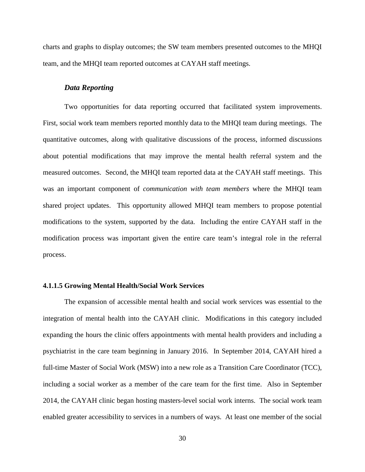charts and graphs to display outcomes; the SW team members presented outcomes to the MHQI team, and the MHQI team reported outcomes at CAYAH staff meetings.

#### *Data Reporting*

Two opportunities for data reporting occurred that facilitated system improvements. First, social work team members reported monthly data to the MHQI team during meetings. The quantitative outcomes, along with qualitative discussions of the process, informed discussions about potential modifications that may improve the mental health referral system and the measured outcomes. Second, the MHQI team reported data at the CAYAH staff meetings. This was an important component of *communication with team members* where the MHQI team shared project updates. This opportunity allowed MHQI team members to propose potential modifications to the system, supported by the data. Including the entire CAYAH staff in the modification process was important given the entire care team's integral role in the referral process.

### <span id="page-37-0"></span>**4.1.1.5 Growing Mental Health/Social Work Services**

The expansion of accessible mental health and social work services was essential to the integration of mental health into the CAYAH clinic. Modifications in this category included expanding the hours the clinic offers appointments with mental health providers and including a psychiatrist in the care team beginning in January 2016. In September 2014, CAYAH hired a full-time Master of Social Work (MSW) into a new role as a Transition Care Coordinator (TCC), including a social worker as a member of the care team for the first time. Also in September 2014, the CAYAH clinic began hosting masters-level social work interns. The social work team enabled greater accessibility to services in a numbers of ways. At least one member of the social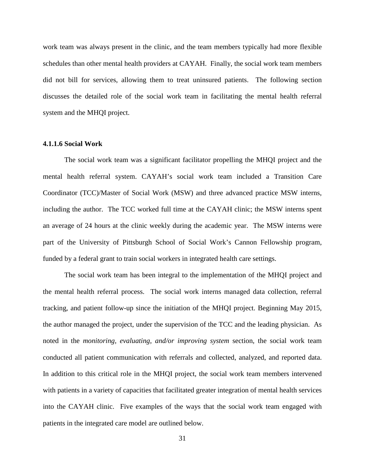work team was always present in the clinic, and the team members typically had more flexible schedules than other mental health providers at CAYAH. Finally, the social work team members did not bill for services, allowing them to treat uninsured patients. The following section discusses the detailed role of the social work team in facilitating the mental health referral system and the MHQI project.

#### <span id="page-38-0"></span>**4.1.1.6 Social Work**

The social work team was a significant facilitator propelling the MHQI project and the mental health referral system. CAYAH's social work team included a Transition Care Coordinator (TCC)/Master of Social Work (MSW) and three advanced practice MSW interns, including the author. The TCC worked full time at the CAYAH clinic; the MSW interns spent an average of 24 hours at the clinic weekly during the academic year. The MSW interns were part of the University of Pittsburgh School of Social Work's Cannon Fellowship program, funded by a federal grant to train social workers in integrated health care settings.

The social work team has been integral to the implementation of the MHQI project and the mental health referral process. The social work interns managed data collection, referral tracking, and patient follow-up since the initiation of the MHQI project. Beginning May 2015, the author managed the project, under the supervision of the TCC and the leading physician. As noted in the *monitoring, evaluating, and/or improving system* section, the social work team conducted all patient communication with referrals and collected, analyzed, and reported data. In addition to this critical role in the MHQI project, the social work team members intervened with patients in a variety of capacities that facilitated greater integration of mental health services into the CAYAH clinic. Five examples of the ways that the social work team engaged with patients in the integrated care model are outlined below.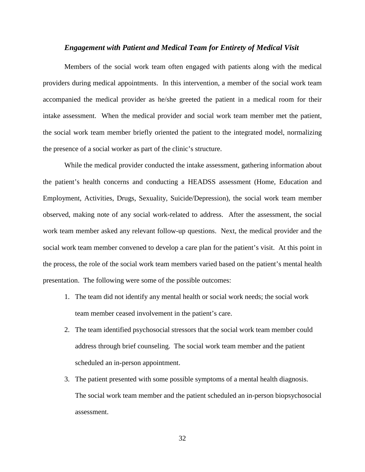#### *Engagement with Patient and Medical Team for Entirety of Medical Visit*

Members of the social work team often engaged with patients along with the medical providers during medical appointments. In this intervention, a member of the social work team accompanied the medical provider as he/she greeted the patient in a medical room for their intake assessment. When the medical provider and social work team member met the patient, the social work team member briefly oriented the patient to the integrated model, normalizing the presence of a social worker as part of the clinic's structure.

While the medical provider conducted the intake assessment, gathering information about the patient's health concerns and conducting a HEADSS assessment (Home, Education and Employment, Activities, Drugs, Sexuality, Suicide/Depression), the social work team member observed, making note of any social work-related to address. After the assessment, the social work team member asked any relevant follow-up questions. Next, the medical provider and the social work team member convened to develop a care plan for the patient's visit. At this point in the process, the role of the social work team members varied based on the patient's mental health presentation. The following were some of the possible outcomes:

- 1. The team did not identify any mental health or social work needs; the social work team member ceased involvement in the patient's care.
- 2. The team identified psychosocial stressors that the social work team member could address through brief counseling. The social work team member and the patient scheduled an in-person appointment.
- 3. The patient presented with some possible symptoms of a mental health diagnosis. The social work team member and the patient scheduled an in-person biopsychosocial assessment.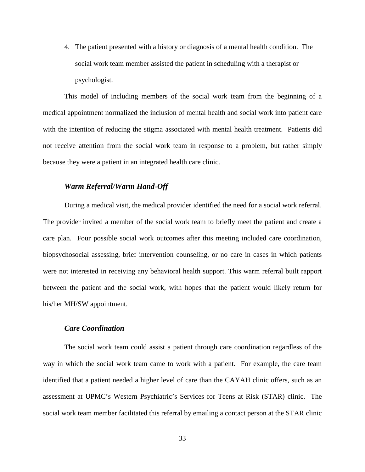4. The patient presented with a history or diagnosis of a mental health condition. The social work team member assisted the patient in scheduling with a therapist or psychologist.

This model of including members of the social work team from the beginning of a medical appointment normalized the inclusion of mental health and social work into patient care with the intention of reducing the stigma associated with mental health treatment. Patients did not receive attention from the social work team in response to a problem, but rather simply because they were a patient in an integrated health care clinic.

# *Warm Referral/Warm Hand-Off*

During a medical visit, the medical provider identified the need for a social work referral. The provider invited a member of the social work team to briefly meet the patient and create a care plan. Four possible social work outcomes after this meeting included care coordination, biopsychosocial assessing, brief intervention counseling, or no care in cases in which patients were not interested in receiving any behavioral health support. This warm referral built rapport between the patient and the social work, with hopes that the patient would likely return for his/her MH/SW appointment.

# *Care Coordination*

The social work team could assist a patient through care coordination regardless of the way in which the social work team came to work with a patient. For example, the care team identified that a patient needed a higher level of care than the CAYAH clinic offers, such as an assessment at UPMC's Western Psychiatric's Services for Teens at Risk (STAR) clinic. The social work team member facilitated this referral by emailing a contact person at the STAR clinic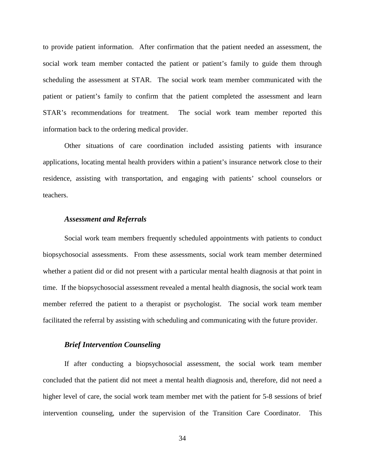to provide patient information. After confirmation that the patient needed an assessment, the social work team member contacted the patient or patient's family to guide them through scheduling the assessment at STAR. The social work team member communicated with the patient or patient's family to confirm that the patient completed the assessment and learn STAR's recommendations for treatment. The social work team member reported this information back to the ordering medical provider.

Other situations of care coordination included assisting patients with insurance applications, locating mental health providers within a patient's insurance network close to their residence, assisting with transportation, and engaging with patients' school counselors or teachers.

### *Assessment and Referrals*

Social work team members frequently scheduled appointments with patients to conduct biopsychosocial assessments. From these assessments, social work team member determined whether a patient did or did not present with a particular mental health diagnosis at that point in time. If the biopsychosocial assessment revealed a mental health diagnosis, the social work team member referred the patient to a therapist or psychologist. The social work team member facilitated the referral by assisting with scheduling and communicating with the future provider.

# *Brief Intervention Counseling*

If after conducting a biopsychosocial assessment, the social work team member concluded that the patient did not meet a mental health diagnosis and, therefore, did not need a higher level of care, the social work team member met with the patient for 5-8 sessions of brief intervention counseling, under the supervision of the Transition Care Coordinator. This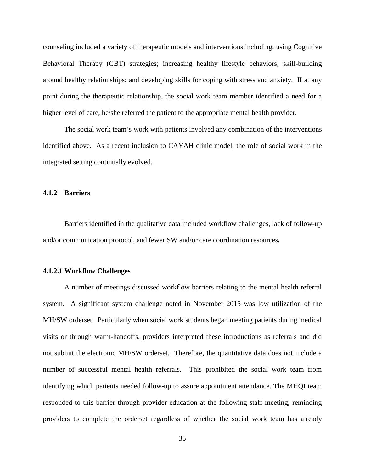counseling included a variety of therapeutic models and interventions including: using Cognitive Behavioral Therapy (CBT) strategies; increasing healthy lifestyle behaviors; skill-building around healthy relationships; and developing skills for coping with stress and anxiety. If at any point during the therapeutic relationship, the social work team member identified a need for a higher level of care, he/she referred the patient to the appropriate mental health provider.

The social work team's work with patients involved any combination of the interventions identified above. As a recent inclusion to CAYAH clinic model, the role of social work in the integrated setting continually evolved.

## <span id="page-42-0"></span>**4.1.2 Barriers**

Barriers identified in the qualitative data included workflow challenges, lack of follow-up and/or communication protocol, and fewer SW and/or care coordination resources**.** 

### <span id="page-42-1"></span>**4.1.2.1 Workflow Challenges**

A number of meetings discussed workflow barriers relating to the mental health referral system. A significant system challenge noted in November 2015 was low utilization of the MH/SW orderset. Particularly when social work students began meeting patients during medical visits or through warm-handoffs, providers interpreted these introductions as referrals and did not submit the electronic MH/SW orderset. Therefore, the quantitative data does not include a number of successful mental health referrals. This prohibited the social work team from identifying which patients needed follow-up to assure appointment attendance. The MHQI team responded to this barrier through provider education at the following staff meeting, reminding providers to complete the orderset regardless of whether the social work team has already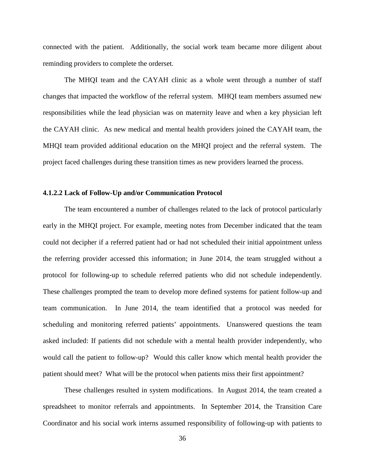connected with the patient. Additionally, the social work team became more diligent about reminding providers to complete the orderset.

The MHQI team and the CAYAH clinic as a whole went through a number of staff changes that impacted the workflow of the referral system. MHQI team members assumed new responsibilities while the lead physician was on maternity leave and when a key physician left the CAYAH clinic. As new medical and mental health providers joined the CAYAH team, the MHQI team provided additional education on the MHQI project and the referral system. The project faced challenges during these transition times as new providers learned the process.

## <span id="page-43-0"></span>**4.1.2.2 Lack of Follow-Up and/or Communication Protocol**

The team encountered a number of challenges related to the lack of protocol particularly early in the MHQI project. For example, meeting notes from December indicated that the team could not decipher if a referred patient had or had not scheduled their initial appointment unless the referring provider accessed this information; in June 2014, the team struggled without a protocol for following-up to schedule referred patients who did not schedule independently. These challenges prompted the team to develop more defined systems for patient follow-up and team communication.In June 2014, the team identified that a protocol was needed for scheduling and monitoring referred patients' appointments. Unanswered questions the team asked included: If patients did not schedule with a mental health provider independently, who would call the patient to follow-up? Would this caller know which mental health provider the patient should meet? What will be the protocol when patients miss their first appointment?

These challenges resulted in system modifications. In August 2014, the team created a spreadsheet to monitor referrals and appointments. In September 2014, the Transition Care Coordinator and his social work interns assumed responsibility of following-up with patients to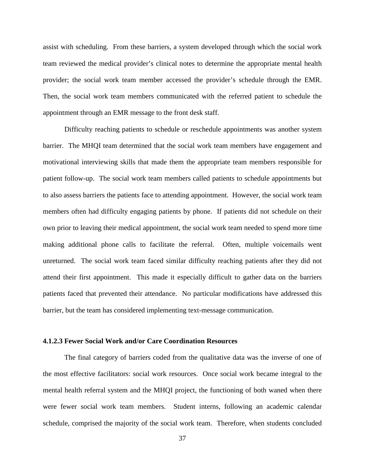assist with scheduling. From these barriers, a system developed through which the social work team reviewed the medical provider's clinical notes to determine the appropriate mental health provider; the social work team member accessed the provider's schedule through the EMR. Then, the social work team members communicated with the referred patient to schedule the appointment through an EMR message to the front desk staff.

Difficulty reaching patients to schedule or reschedule appointments was another system barrier. The MHQI team determined that the social work team members have engagement and motivational interviewing skills that made them the appropriate team members responsible for patient follow-up. The social work team members called patients to schedule appointments but to also assess barriers the patients face to attending appointment. However, the social work team members often had difficulty engaging patients by phone. If patients did not schedule on their own prior to leaving their medical appointment, the social work team needed to spend more time making additional phone calls to facilitate the referral. Often, multiple voicemails went unreturned. The social work team faced similar difficulty reaching patients after they did not attend their first appointment. This made it especially difficult to gather data on the barriers patients faced that prevented their attendance. No particular modifications have addressed this barrier, but the team has considered implementing text-message communication.

# <span id="page-44-0"></span>**4.1.2.3 Fewer Social Work and/or Care Coordination Resources**

The final category of barriers coded from the qualitative data was the inverse of one of the most effective facilitators: social work resources. Once social work became integral to the mental health referral system and the MHQI project, the functioning of both waned when there were fewer social work team members. Student interns, following an academic calendar schedule, comprised the majority of the social work team. Therefore, when students concluded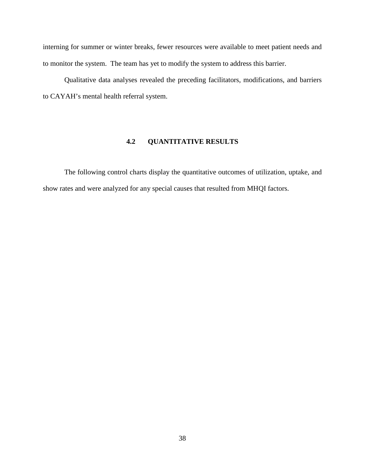interning for summer or winter breaks, fewer resources were available to meet patient needs and to monitor the system. The team has yet to modify the system to address this barrier.

<span id="page-45-0"></span>Qualitative data analyses revealed the preceding facilitators, modifications, and barriers to CAYAH's mental health referral system.

# **4.2 QUANTITATIVE RESULTS**

The following control charts display the quantitative outcomes of utilization, uptake, and show rates and were analyzed for any special causes that resulted from MHQI factors.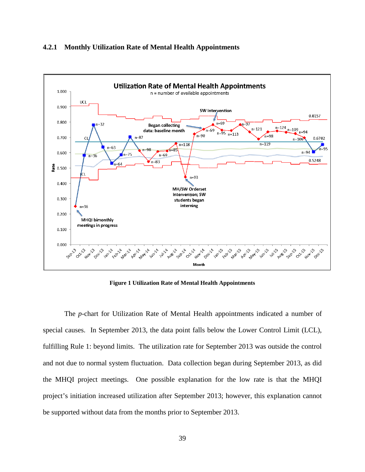## <span id="page-46-0"></span>**4.2.1 Monthly Utilization Rate of Mental Health Appointments**



**Figure 1 Utilization Rate of Mental Health Appointments**

<span id="page-46-1"></span>The *p*-chart for Utilization Rate of Mental Health appointments indicated a number of special causes. In September 2013, the data point falls below the Lower Control Limit (LCL), fulfilling Rule 1: beyond limits. The utilization rate for September 2013 was outside the control and not due to normal system fluctuation. Data collection began during September 2013, as did the MHQI project meetings. One possible explanation for the low rate is that the MHQI project's initiation increased utilization after September 2013; however, this explanation cannot be supported without data from the months prior to September 2013.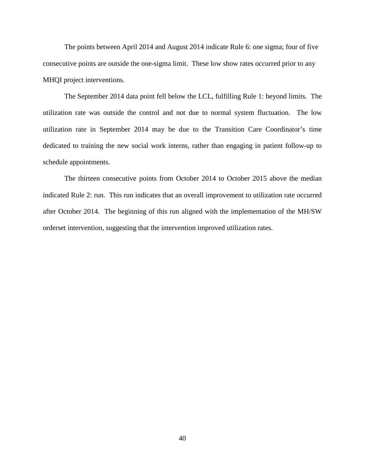The points between April 2014 and August 2014 indicate Rule 6: one sigma; four of five consecutive points are outside the one-sigma limit. These low show rates occurred prior to any MHQI project interventions.

The September 2014 data point fell below the LCL, fulfilling Rule 1: beyond limits. The utilization rate was outside the control and not due to normal system fluctuation. The low utilization rate in September 2014 may be due to the Transition Care Coordinator's time dedicated to training the new social work interns, rather than engaging in patient follow-up to schedule appointments.

The thirteen consecutive points from October 2014 to October 2015 above the median indicated Rule 2: run. This run indicates that an overall improvement to utilization rate occurred after October 2014. The beginning of this run aligned with the implementation of the MH/SW orderset intervention, suggesting that the intervention improved utilization rates.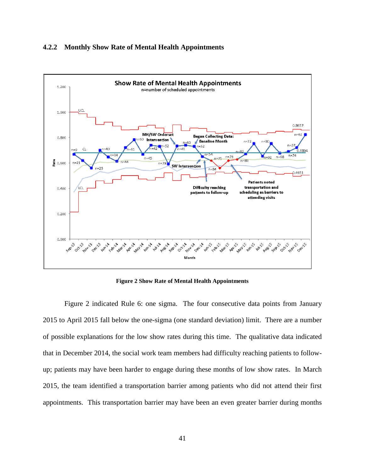### <span id="page-48-0"></span>**4.2.2 Monthly Show Rate of Mental Health Appointments**



**Figure 2 Show Rate of Mental Health Appointments**

<span id="page-48-1"></span>Figure 2 indicated Rule 6: one sigma. The four consecutive data points from January 2015 to April 2015 fall below the one-sigma (one standard deviation) limit. There are a number of possible explanations for the low show rates during this time. The qualitative data indicated that in December 2014, the social work team members had difficulty reaching patients to followup; patients may have been harder to engage during these months of low show rates. In March 2015, the team identified a transportation barrier among patients who did not attend their first appointments. This transportation barrier may have been an even greater barrier during months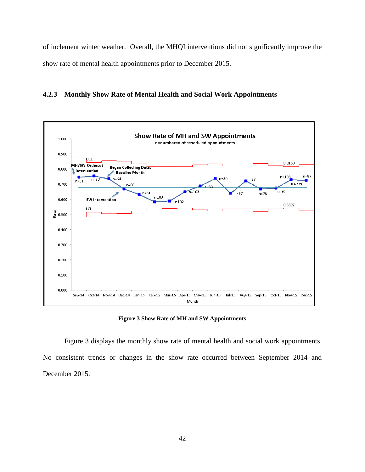of inclement winter weather. Overall, the MHQI interventions did not significantly improve the show rate of mental health appointments prior to December 2015.

<span id="page-49-0"></span>



#### **Figure 3 Show Rate of MH and SW Appointments**

<span id="page-49-1"></span>Figure 3 displays the monthly show rate of mental health and social work appointments. No consistent trends or changes in the show rate occurred between September 2014 and December 2015.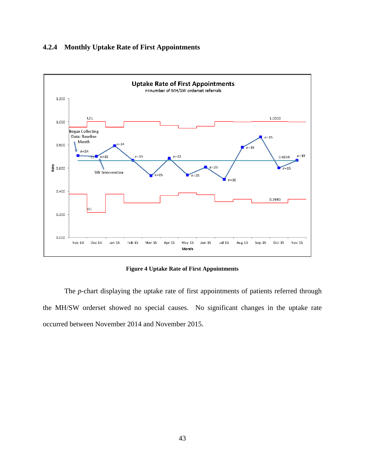# <span id="page-50-0"></span>**4.2.4 Monthly Uptake Rate of First Appointments**



**Figure 4 Uptake Rate of First Appointments**

<span id="page-50-1"></span>The *p*-chart displaying the uptake rate of first appointments of patients referred through the MH/SW orderset showed no special causes. No significant changes in the uptake rate occurred between November 2014 and November 2015.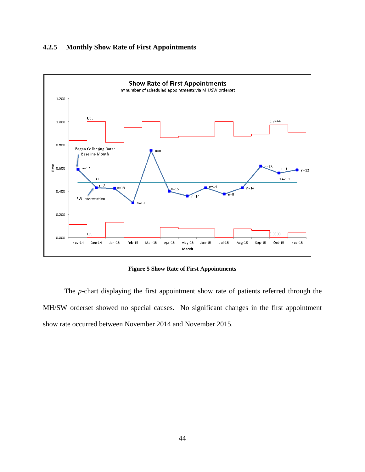# <span id="page-51-0"></span>**4.2.5 Monthly Show Rate of First Appointments**



**Figure 5 Show Rate of First Appointments**

<span id="page-51-1"></span>The *p*-chart displaying the first appointment show rate of patients referred through the MH/SW orderset showed no special causes. No significant changes in the first appointment show rate occurred between November 2014 and November 2015.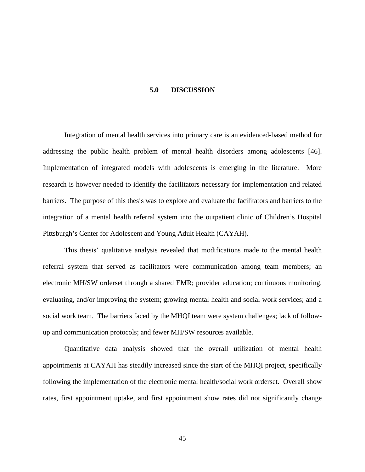#### **5.0 DISCUSSION**

<span id="page-52-0"></span>Integration of mental health services into primary care is an evidenced-based method for addressing the public health problem of mental health disorders among adolescents [\[46\]](#page-61-9). Implementation of integrated models with adolescents is emerging in the literature. More research is however needed to identify the facilitators necessary for implementation and related barriers. The purpose of this thesis was to explore and evaluate the facilitators and barriers to the integration of a mental health referral system into the outpatient clinic of Children's Hospital Pittsburgh's Center for Adolescent and Young Adult Health (CAYAH).

This thesis' qualitative analysis revealed that modifications made to the mental health referral system that served as facilitators were communication among team members; an electronic MH/SW orderset through a shared EMR; provider education; continuous monitoring, evaluating, and/or improving the system; growing mental health and social work services; and a social work team. The barriers faced by the MHQI team were system challenges; lack of followup and communication protocols; and fewer MH/SW resources available.

Quantitative data analysis showed that the overall utilization of mental health appointments at CAYAH has steadily increased since the start of the MHQI project, specifically following the implementation of the electronic mental health/social work orderset. Overall show rates, first appointment uptake, and first appointment show rates did not significantly change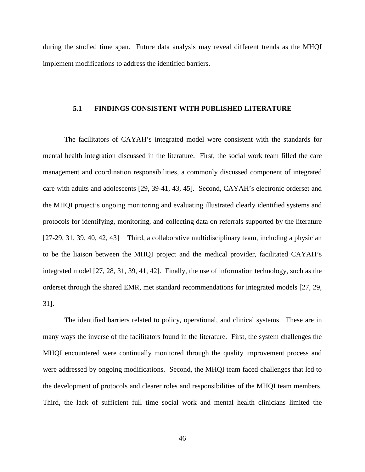<span id="page-53-0"></span>during the studied time span. Future data analysis may reveal different trends as the MHQI implement modifications to address the identified barriers.

## **5.1 FINDINGS CONSISTENT WITH PUBLISHED LITERATURE**

The facilitators of CAYAH's integrated model were consistent with the standards for mental health integration discussed in the literature. First, the social work team filled the care management and coordination responsibilities, a commonly discussed component of integrated care with adults and adolescents [\[29,](#page-60-13) [39-41,](#page-61-2) [43,](#page-61-6) [45\]](#page-61-8). Second, CAYAH's electronic orderset and the MHQI project's ongoing monitoring and evaluating illustrated clearly identified systems and protocols for identifying, monitoring, and collecting data on referrals supported by the literature [\[27-29,](#page-60-11) [31,](#page-60-15) [39,](#page-61-2) [40,](#page-61-5) [42,](#page-61-3) [43\]](#page-61-6) Third, a collaborative multidisciplinary team, including a physician to be the liaison between the MHQI project and the medical provider, facilitated CAYAH's integrated model [\[27,](#page-60-11) [28,](#page-60-12) [31,](#page-60-15) [39,](#page-61-2) [41,](#page-61-4) [42\]](#page-61-3). Finally, the use of information technology, such as the orderset through the shared EMR, met standard recommendations for integrated models [\[27,](#page-60-11) [29,](#page-60-13) [31\]](#page-60-15).

The identified barriers related to policy, operational, and clinical systems. These are in many ways the inverse of the facilitators found in the literature. First, the system challenges the MHQI encountered were continually monitored through the quality improvement process and were addressed by ongoing modifications. Second, the MHQI team faced challenges that led to the development of protocols and clearer roles and responsibilities of the MHQI team members. Third, the lack of sufficient full time social work and mental health clinicians limited the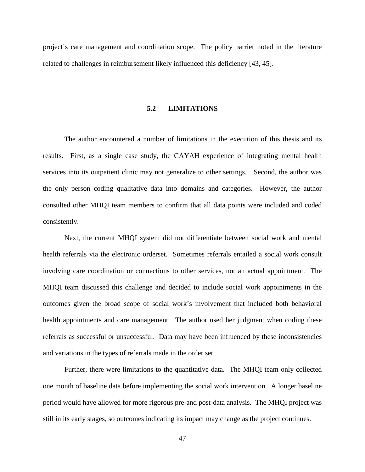<span id="page-54-0"></span>project's care management and coordination scope. The policy barrier noted in the literature related to challenges in reimbursement likely influenced this deficiency [\[43,](#page-61-6) [45\]](#page-61-8).

#### **5.2 LIMITATIONS**

The author encountered a number of limitations in the execution of this thesis and its results. First, as a single case study, the CAYAH experience of integrating mental health services into its outpatient clinic may not generalize to other settings. Second, the author was the only person coding qualitative data into domains and categories. However, the author consulted other MHQI team members to confirm that all data points were included and coded consistently.

Next, the current MHQI system did not differentiate between social work and mental health referrals via the electronic orderset. Sometimes referrals entailed a social work consult involving care coordination or connections to other services, not an actual appointment. The MHQI team discussed this challenge and decided to include social work appointments in the outcomes given the broad scope of social work's involvement that included both behavioral health appointments and care management. The author used her judgment when coding these referrals as successful or unsuccessful. Data may have been influenced by these inconsistencies and variations in the types of referrals made in the order set.

Further, there were limitations to the quantitative data. The MHQI team only collected one month of baseline data before implementing the social work intervention. A longer baseline period would have allowed for more rigorous pre-and post-data analysis. The MHQI project was still in its early stages, so outcomes indicating its impact may change as the project continues.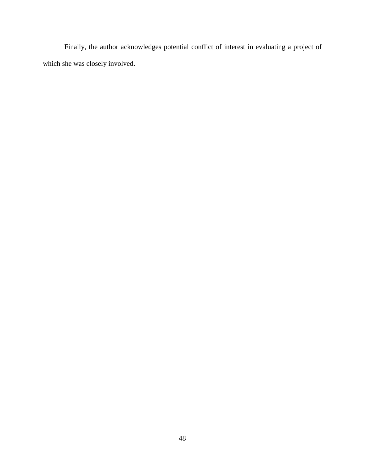Finally, the author acknowledges potential conflict of interest in evaluating a project of which she was closely involved.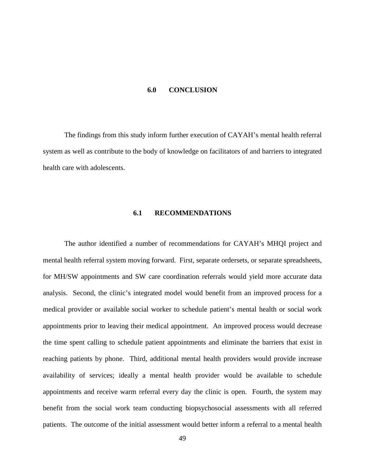#### **6.0 CONCLUSION**

<span id="page-56-1"></span><span id="page-56-0"></span>The findings from this study inform further execution of CAYAH's mental health referral system as well as contribute to the body of knowledge on facilitators of and barriers to integrated health care with adolescents.

# **6.1 RECOMMENDATIONS**

The author identified a number of recommendations for CAYAH's MHQI project and mental health referral system moving forward. First, separate ordersets, or separate spreadsheets, for MH/SW appointments and SW care coordination referrals would yield more accurate data analysis. Second, the clinic's integrated model would benefit from an improved process for a medical provider or available social worker to schedule patient's mental health or social work appointments prior to leaving their medical appointment. An improved process would decrease the time spent calling to schedule patient appointments and eliminate the barriers that exist in reaching patients by phone. Third, additional mental health providers would provide increase availability of services; ideally a mental health provider would be available to schedule appointments and receive warm referral every day the clinic is open. Fourth, the system may benefit from the social work team conducting biopsychosocial assessments with all referred patients. The outcome of the initial assessment would better inform a referral to a mental health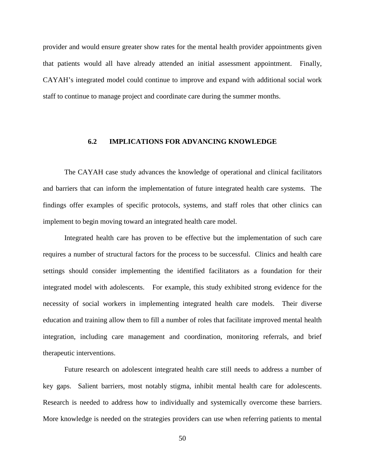provider and would ensure greater show rates for the mental health provider appointments given that patients would all have already attended an initial assessment appointment. Finally, CAYAH's integrated model could continue to improve and expand with additional social work staff to continue to manage project and coordinate care during the summer months.

# <span id="page-57-0"></span>**6.2 IMPLICATIONS FOR ADVANCING KNOWLEDGE**

The CAYAH case study advances the knowledge of operational and clinical facilitators and barriers that can inform the implementation of future integrated health care systems. The findings offer examples of specific protocols, systems, and staff roles that other clinics can implement to begin moving toward an integrated health care model.

Integrated health care has proven to be effective but the implementation of such care requires a number of structural factors for the process to be successful. Clinics and health care settings should consider implementing the identified facilitators as a foundation for their integrated model with adolescents. For example, this study exhibited strong evidence for the necessity of social workers in implementing integrated health care models. Their diverse education and training allow them to fill a number of roles that facilitate improved mental health integration, including care management and coordination, monitoring referrals, and brief therapeutic interventions.

Future research on adolescent integrated health care still needs to address a number of key gaps. Salient barriers, most notably stigma, inhibit mental health care for adolescents. Research is needed to address how to individually and systemically overcome these barriers. More knowledge is needed on the strategies providers can use when referring patients to mental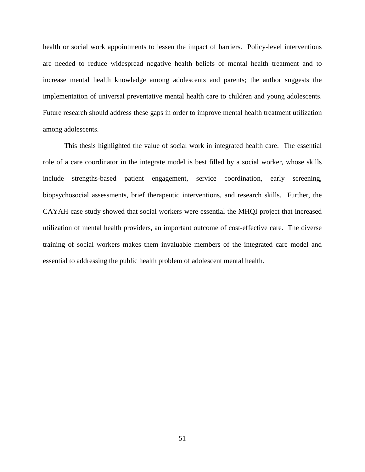health or social work appointments to lessen the impact of barriers. Policy-level interventions are needed to reduce widespread negative health beliefs of mental health treatment and to increase mental health knowledge among adolescents and parents; the author suggests the implementation of universal preventative mental health care to children and young adolescents. Future research should address these gaps in order to improve mental health treatment utilization among adolescents.

This thesis highlighted the value of social work in integrated health care. The essential role of a care coordinator in the integrate model is best filled by a social worker, whose skills include strengths-based patient engagement, service coordination, early screening, biopsychosocial assessments, brief therapeutic interventions, and research skills. Further, the CAYAH case study showed that social workers were essential the MHQI project that increased utilization of mental health providers, an important outcome of cost-effective care. The diverse training of social workers makes them invaluable members of the integrated care model and essential to addressing the public health problem of adolescent mental health.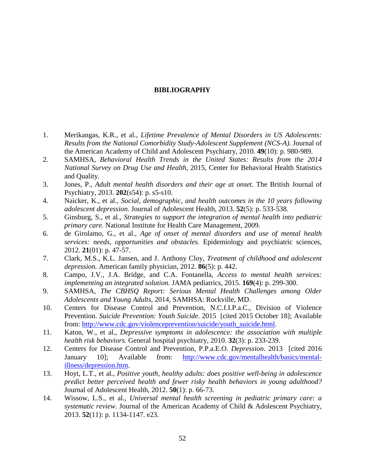# **BIBLIOGRAPHY**

- <span id="page-59-1"></span><span id="page-59-0"></span>1. Merikangas, K.R., et al., *Lifetime Prevalence of Mental Disorders in US Adolescents: Results from the National Comorbidity Study-Adolescent Supplement (NCS-A).* Journal of the American Academy of Child and Adolescent Psychiatry, 2010. **49**(10): p. 980-989.
- <span id="page-59-2"></span>2. SAMHSA, *Behavioral Health Trends in the United States: Results from the 2014 National Survey on Drug Use and Health*, 2015, Center for Behavioral Health Statistics and Quality.
- <span id="page-59-3"></span>3. Jones, P., *Adult mental health disorders and their age at onset.* The British Journal of Psychiatry, 2013. **202**(s54): p. s5-s10.
- <span id="page-59-9"></span>4. Naicker, K., et al., *Social, demographic, and health outcomes in the 10 years following adolescent depression.* Journal of Adolescent Health, 2013. **52**(5): p. 533-538.
- <span id="page-59-12"></span>5. Ginsburg, S., et al., *Strategies to support the integration of mental health into pediatric primary care.* National Institute for Health Care Management, 2009.
- <span id="page-59-13"></span>6. de Girolamo, G., et al., *Age of onset of mental disorders and use of mental health services: needs, opportunities and obstacles.* Epidemiology and psychiatric sciences, 2012. **21**(01): p. 47-57.
- 7. Clark, M.S., K.L. Jansen, and J. Anthony Cloy, *Treatment of childhood and adolescent depression.* American family physician, 2012. **86**(5): p. 442.
- <span id="page-59-11"></span>8. Campo, J.V., J.A. Bridge, and C.A. Fontanella, *Access to mental health services: implementing an integrated solution.* JAMA pediatrics, 2015. **169**(4): p. 299-300.
- <span id="page-59-4"></span>9. SAMHSA, *The CBHSQ Report: Serious Mental Health Challenges among Older Adolescents and Young Adults*, 2014, SAMHSA: Rockville, MD.
- <span id="page-59-5"></span>10. Centers for Disease Control and Prevention, N.C.f.I.P.a.C., Division of Violence Prevention. *Suicide Prevention: Youth Suicide*. 2015 [cited 2015 October 18]; Available from: [http://www.cdc.gov/violenceprevention/suicide/youth\\_suicide.html.](http://www.cdc.gov/violenceprevention/suicide/youth_suicide.html)
- <span id="page-59-6"></span>11. Katon, W., et al., *Depressive symptoms in adolescence: the association with multiple health risk behaviors.* General hospital psychiatry, 2010. **32**(3): p. 233-239.
- <span id="page-59-7"></span>12. Centers for Disease Control and Prevention, P.P.a.E.O. *Depression*. 2013 [cited 2016 January 10]; Available from: [http://www.cdc.gov/mentalhealth/basics/mental](http://www.cdc.gov/mentalhealth/basics/mental-illness/depression.htm)[illness/depression.htm.](http://www.cdc.gov/mentalhealth/basics/mental-illness/depression.htm)
- <span id="page-59-8"></span>13. Hoyt, L.T., et al., *Positive youth, healthy adults: does positive well-being in adolescence predict better perceived health and fewer risky health behaviors in young adulthood?* Journal of Adolescent Health, 2012. **50**(1): p. 66-73.
- <span id="page-59-10"></span>14. Wissow, L.S., et al., *Universal mental health screening in pediatric primary care: a systematic review.* Journal of the American Academy of Child & Adolescent Psychiatry, 2013. **52**(11): p. 1134-1147. e23.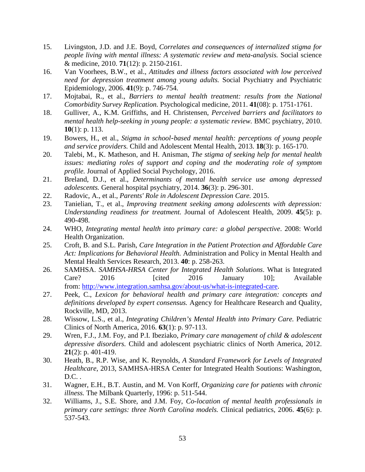- <span id="page-60-0"></span>15. Livingston, J.D. and J.E. Boyd, *Correlates and consequences of internalized stigma for people living with mental illness: A systematic review and meta-analysis.* Social science & medicine, 2010. **71**(12): p. 2150-2161.
- <span id="page-60-1"></span>16. Van Voorhees, B.W., et al., *Attitudes and illness factors associated with low perceived need for depression treatment among young adults.* Social Psychiatry and Psychiatric Epidemiology, 2006. **41**(9): p. 746-754.
- <span id="page-60-2"></span>17. Mojtabai, R., et al., *Barriers to mental health treatment: results from the National Comorbidity Survey Replication.* Psychological medicine, 2011. **41**(08): p. 1751-1761.
- <span id="page-60-3"></span>18. Gulliver, A., K.M. Griffiths, and H. Christensen, *Perceived barriers and facilitators to mental health help-seeking in young people: a systematic review.* BMC psychiatry, 2010. **10**(1): p. 113.
- <span id="page-60-4"></span>19. Bowers, H., et al., *Stigma in school‐based mental health: perceptions of young people and service providers.* Child and Adolescent Mental Health, 2013. **18**(3): p. 165-170.
- <span id="page-60-5"></span>20. Talebi, M., K. Matheson, and H. Anisman, *The stigma of seeking help for mental health issues: mediating roles of support and coping and the moderating role of symptom profile.* Journal of Applied Social Psychology, 2016.
- <span id="page-60-6"></span>21. Breland, D.J., et al., *Determinants of mental health service use among depressed adolescents.* General hospital psychiatry, 2014. **36**(3): p. 296-301.
- <span id="page-60-7"></span>22. Radovic, A., et al., *Parents' Role in Adolescent Depression Care.* 2015.
- 23. Tanielian, T., et al., *Improving treatment seeking among adolescents with depression: Understanding readiness for treatment.* Journal of Adolescent Health, 2009. **45**(5): p. 490-498.
- <span id="page-60-8"></span>24. WHO, *Integrating mental health into primary care: a global perspective*. 2008: World Health Organization.
- <span id="page-60-9"></span>25. Croft, B. and S.L. Parish, *Care Integration in the Patient Protection and Affordable Care Act: Implications for Behavioral Health.* Administration and Policy in Mental Health and Mental Health Services Research, 2013. **40**: p. 258-263.
- <span id="page-60-10"></span>26. SAMHSA. *SAMHSA-HRSA Center for Integrated Health Solutions*. What is Integrated Care? 2016 [cited 2016 January 10]; Available from: [http://www.integration.samhsa.gov/about-us/what-is-integrated-care.](http://www.integration.samhsa.gov/about-us/what-is-integrated-care)
- <span id="page-60-11"></span>27. Peek, C., *Lexicon for behavioral health and primary care integration: concepts and definitions developed by expert consensus.* Agency for Healthcare Research and Quality, Rockville, MD, 2013.
- <span id="page-60-12"></span>28. Wissow, L.S., et al., *Integrating Children's Mental Health into Primary Care.* Pediatric Clinics of North America, 2016. **63**(1): p. 97-113.
- <span id="page-60-13"></span>29. Wren, F.J., J.M. Foy, and P.I. Ibeziako, *Primary care management of child & adolescent depressive disorders.* Child and adolescent psychiatric clinics of North America, 2012. **21**(2): p. 401-419.
- <span id="page-60-14"></span>30. Heath, B., R.P. Wise, and K. Reynolds, *A Standard Framework for Levels of Integrated Healthcare*, 2013, SAMHSA-HRSA Center for Integrated Health Soutions: Washington, D.C. .
- <span id="page-60-15"></span>31. Wagner, E.H., B.T. Austin, and M. Von Korff, *Organizing care for patients with chronic illness.* The Milbank Quarterly, 1996: p. 511-544.
- <span id="page-60-16"></span>32. Williams, J., S.E. Shore, and J.M. Foy, *Co-location of mental health professionals in primary care settings: three North Carolina models.* Clinical pediatrics, 2006. **45**(6): p. 537-543.